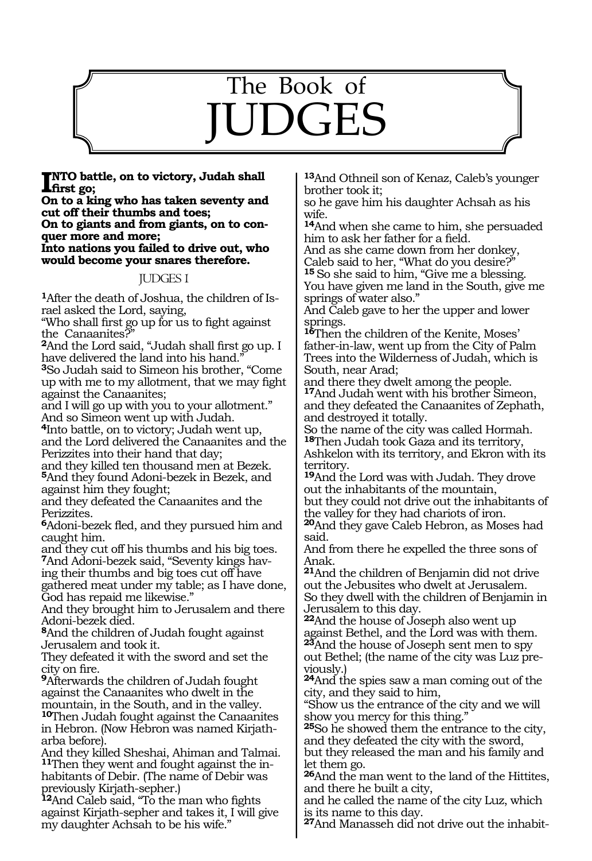

**INTO battle, on to victory, Judah shall**<br> **into a line who bestelses coverty and first go;**

**On to a king who has taken seventy and cut off their thumbs and toes; On to giants and from giants, on to conquer more and more; Into nations you failed to drive out, who would become your snares therefore.**

#### JUDGES 1

**<sup>1</sup>**After the death of Joshua, the children of Is- rael asked the Lord, saying,

"Who shall first go up for us to fight against the Canaanites?

**<sup>2</sup>**And the Lord said, "Judah shall first go up. I have delivered the land into his hand.

**<sup>3</sup>**So Judah said to Simeon his brother, "Come up with me to my allotment, that we may fight against the Canaanites;

and I will go up with you to your allotment." And so Simeon went up with Judah.

**<sup>4</sup>**Into battle, on to victory; Judah went up, and the Lord delivered the Canaanites and the Perizzites into their hand that day;

and they killed ten thousand men at Bezek. **<sup>5</sup>**And they found Adoni-bezek in Bezek, and against him they fought;

and they defeated the Canaanites and the Perizzites.

**<sup>6</sup>**Adoni-bezek fled, and they pursued him and caught him.

and they cut off his thumbs and his big toes. **<sup>7</sup>**And Adoni-bezek said, "Seventy kings hav- ing their thumbs and big toes cut off have

gathered meat under my table; as I have done, God has repaid me likewise."

And they brought him to Jerusalem and there Adoni-bezek died.

**<sup>8</sup>**And the children of Judah fought against Jerusalem and took it.

They defeated it with the sword and set the city on fire.

**<sup>9</sup>**Afterwards the children of Judah fought against the Canaanites who dwelt in the mountain, in the South, and in the valley.

**<sup>10</sup>**Then Judah fought against the Canaanites in Hebron. (Now Hebron was named Kirjatharba before).

And they killed Sheshai, Ahiman and Talmai. **<sup>11</sup>**Then they went and fought against the in- habitants of Debir. (The name of Debir was previously Kirjath-sepher.)

**<sup>12</sup>**And Caleb said, "To the man who fights against Kirjath-sepher and takes it, I will give my daughter Achsah to be his wife."

**<sup>13</sup>**And Othneil son of Kenaz, Caleb's younger brother took it;

so he gave him his daughter Achsah as his wife.

**<sup>14</sup>**And when she came to him, she persuaded him to ask her father for a field.

And as she came down from her donkey, Caleb said to her, "What do you desire?" **<sup>15</sup>**So she said to him, "Give me a blessing. You have given me land in the South, give me springs of water also."

And Caleb gave to her the upper and lower springs.

**<sup>16</sup>**Then the children of the Kenite, Moses' father-in-law, went up from the City of Palm Trees into the Wilderness of Judah, which is South, near Arad;

and there they dwelt among the people. **<sup>17</sup>**And Judah went with his brother Simeon, and they defeated the Canaanites of Zephath, and destroyed it totally.

So the name of the city was called Hormah. **<sup>18</sup>**Then Judah took Gaza and its territory, Ashkelon with its territory, and Ekron with its territory.

**<sup>19</sup>**And the Lord was with Judah. They drove out the inhabitants of the mountain, but they could not drive out the inhabitants of the valley for they had chariots of iron.

**<sup>20</sup>**And they gave Caleb Hebron, as Moses had said.

And from there he expelled the three sons of Anak.

**<sup>21</sup>**And the children of Benjamin did not drive out the Jebusites who dwelt at Jerusalem. So they dwell with the children of Benjamin in

Jerusalem to this day. **<sup>22</sup>**And the house of Joseph also went up against Bethel, and the Lord was with them.

**<sup>23</sup>**And the house of Joseph sent men to spy out Bethel; (the name of the city was Luz pre- viously.)

**<sup>24</sup>**And the spies saw a man coming out of the city, and they said to him,

"Show us the entrance of the city and we will show you mercy for this thing."

**<sup>25</sup>**So he showed them the entrance to the city, and they defeated the city with the sword,

but they released the man and his family and let them go.

**<sup>26</sup>**And the man went to the land of the Hittites, and there he built a city,

and he called the name of the city Luz, which is its name to this day.

**<sup>27</sup>**And Manasseh did not drive out the inhabit-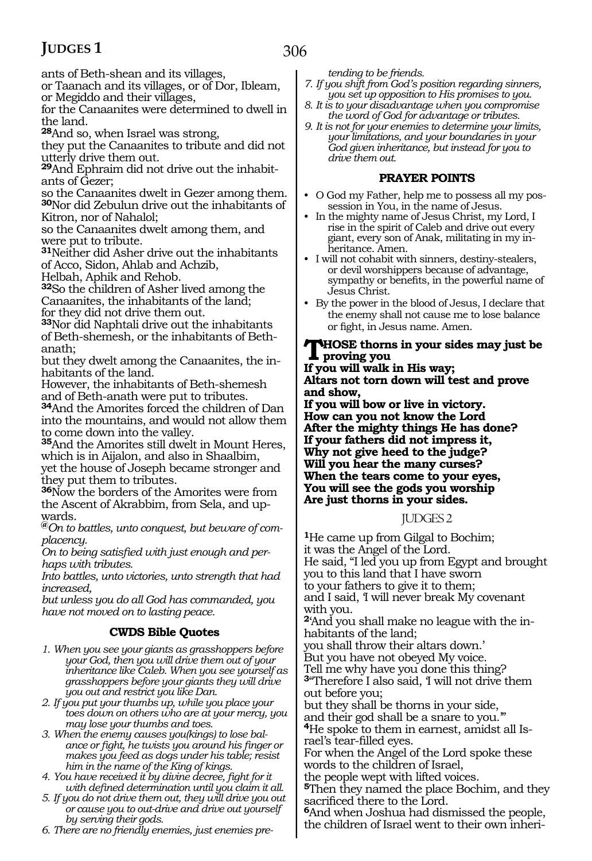ants of Beth-shean and its villages,

or Taanach and its villages, or of Dor, Ibleam, or Megiddo and their villages,

for the Canaanites were determined to dwell in the land.

**<sup>28</sup>**And so, when Israel was strong,

they put the Canaanites to tribute and did not utterly drive them out.

**29**And Ephraim did not drive out the inhabitants of Gezer;

so the Canaanites dwelt in Gezer among them. **<sup>30</sup>**Nor did Zebulun drive out the inhabitants of Kitron, nor of Nahalol;

so the Canaanites dwelt among them, and were put to tribute.

**<sup>31</sup>**Neither did Asher drive out the inhabitants of Acco, Sidon, Ahlab and Achzib,

Helbah, Aphik and Rehob.

**<sup>32</sup>**So the children of Asher lived among the Canaanites, the inhabitants of the land; for they did not drive them out.

**<sup>33</sup>**Nor did Naphtali drive out the inhabitants of Beth-shemesh, or the inhabitants of Bethanath;

but they dwelt among the Canaanites, the inhabitants of the land.

However, the inhabitants of Beth-shemesh and of Beth-anath were put to tributes.

**<sup>34</sup>**And the Amorites forced the children of Dan into the mountains, and would not allow them to come down into the valley.

**<sup>35</sup>**And the Amorites still dwelt in Mount Heres, which is in Aijalon, and also in Shaalbim,

yet the house of Joseph became stronger and they put them to tributes.

**<sup>36</sup>**Now the borders of the Amorites were from the Ascent of Akrabbim, from Sela, and up-<br>wards.

**@***On to battles, unto conquest, but beware of complacency.*

*On to being satisfied with just enough and perhaps with tributes.*

*Into battles, unto victories, unto strength that had increased,*

*but unless you do all God has commanded, you have not moved on to lasting peace.* 

#### **CWDS Bible Quotes**

- *1. When you see your giants as grasshoppers before your God, then you will drive them out of your inheritance like Caleb. When you see yourself as grasshoppers before your giants they will drive you out and restrict you like Dan.*
- *2. If you put your thumbs up, while you place your toes down on others who are at your mercy, you may lose your thumbs and toes.*
- *3. When the enemy causes you(kings) to lose balance or fight, he twists you around his finger or makes you feed as dogs under his table; resist him in the name of the King of kings.*
- *4. You have received it by divine decree, fight for it with defined determination until you claim it all.*
- *5. If you do not drive them out, they will drive you out or cause you to out-drive and drive out yourself by serving their gods.*
- *6. There are no friendly enemies, just enemies pre-*

*tending to be friends.* 

*7. If you shift from God's position regarding sinners, you set up opposition to His promises to you.*

- *8. It is to your disadvantage when you compromise the word of God for advantage or tributes.*
- *9. It is not for your enemies to determine your limits, your limitations, and your boundaries in your God given inheritance, but instead for you to drive them out.*

#### **PRAYER POINTS**

- O God my Father, help me to possess all my possession in You, in the name of Jesus.
- In the mighty name of Jesus Christ, my Lord, I rise in the spirit of Caleb and drive out every giant, every son of Anak, militating in my inheritance. Amen.
- I will not cohabit with sinners, destiny-stealers, or devil worshippers because of advantage, sympathy or benefits, in the powerful name of Jesus Christ.
- By the power in the blood of Jesus, I declare that the enemy shall not cause me to lose balance or fight, in Jesus name. Amen.

#### **Those thorns in your sides may just be proving you**

**If you will walk in His way; Altars not torn down will test and prove and show,** 

**If you will bow or live in victory. How can you not know the Lord After the mighty things He has done? If your fathers did not impress it, Why not give heed to the judge? Will you hear the many curses? When the tears come to your eyes, You will see the gods you worship Are just thorns in your sides.**

#### JUDGES 2

**<sup>1</sup>**He came up from Gilgal to Bochim; it was the Angel of the Lord. He said, "I led you up from Egypt and brought you to this land that I have sworn to your fathers to give it to them; and I said, 'I will never break My covenant with you. **2**'And you shall make no league with the inhabitants of the land; you shall throw their altars down.' But you have not obeyed My voice. Tell me why have you done this thing? **<sup>3</sup>**"Therefore I also said, 'I will not drive them

out before you; but they shall be thorns in your side,

and their god shall be a snare to you.'" **4**He spoke to them in earnest, amidst all Israel's tear-filled eyes.

For when the Angel of the Lord spoke these words to the children of Israel,

the people wept with lifted voices.

**<sup>5</sup>**Then they named the place Bochim, and they sacrificed there to the Lord.

**<sup>6</sup>**And when Joshua had dismissed the people, the children of Israel went to their own inheri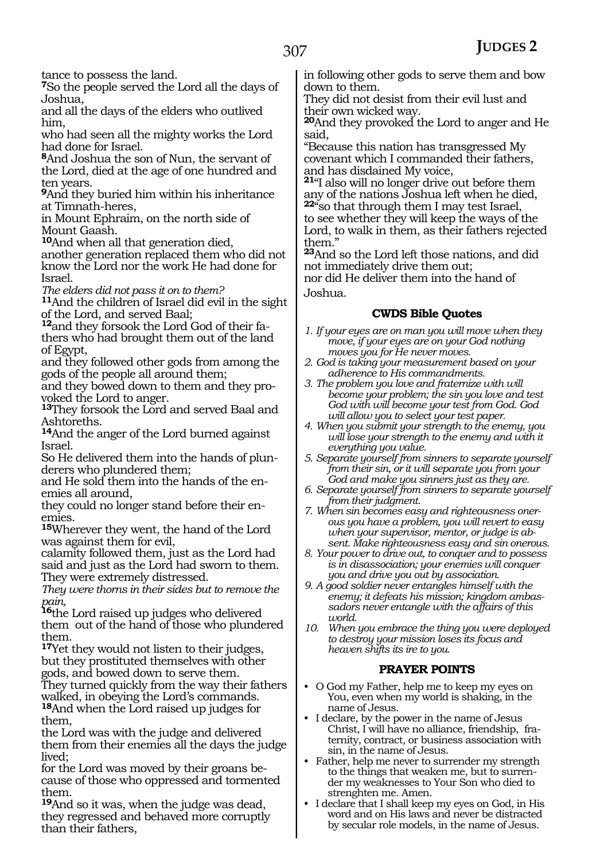tance to possess the land.

**<sup>7</sup>**So the people served the Lord all the days of Joshua,

and all the days of the elders who outlived him,

who had seen all the mighty works the Lord had done for Israel.

**<sup>8</sup>**And Joshua the son of Nun, the servant of the Lord, died at the age of one hundred and ten years.

**<sup>9</sup>**And they buried him within his inheritance at Timnath-heres,

in Mount Ephraim, on the north side of Mount Gaash.

**<sup>10</sup>**And when all that generation died,

another generation replaced them who did not know the Lord nor the work He had done for Israel.

*The elders did not pass it on to them?* **<sup>11</sup>**And the children of Israel did evil in the sight

of the Lord, and served Baal; **12**and they forsook the Lord God of their fathers who had brought them out of the land of Egypt,

and they followed other gods from among the gods of the people all around them;

and they bowed down to them and they provoked the Lord to anger.

**<sup>13</sup>**They forsook the Lord and served Baal and Ashtoreths.

**<sup>14</sup>**And the anger of the Lord burned against Israel.

So He delivered them into the hands of plunderers who plundered them;

and He sold them into the hands of the en- emies all around,

they could no longer stand before their en- emies.

**<sup>15</sup>**Wherever they went, the hand of the Lord was against them for evil,

calamity followed them, just as the Lord had said and just as the Lord had sworn to them. They were extremely distressed.

*They were thorns in their sides but to remove the pain,*

**<sup>16</sup>**the Lord raised up judges who delivered them out of the hand of those who plundered them.

**<sup>17</sup>**Yet they would not listen to their judges, but they prostituted themselves with other gods, and bowed down to serve them.

They turned quickly from the way their fathers walked, in obeying the Lord's commands. **<sup>18</sup>**And when the Lord raised up judges for them,

the Lord was with the judge and delivered them from their enemies all the days the judge

lived;<br>for the Lord was moved by their groans because of those who oppressed and tormented them.

**<sup>19</sup>**And so it was, when the judge was dead, they regressed and behaved more corruptly than their fathers,

in following other gods to serve them and bow down to them.

They did not desist from their evil lust and their own wicked way.

**<sup>20</sup>**And they provoked the Lord to anger and He said,

"Because this nation has transgressed My covenant which I commanded their fathers, and has disdained My voice,

**<sup>21</sup>**"I also will no longer drive out before them any of the nations Joshua left when he died, **<sup>22</sup>**"so that through them I may test Israel, to see whether they will keep the ways of the

Lord, to walk in them, as their fathers rejected them."

**<sup>23</sup>**And so the Lord left those nations, and did not immediately drive them out;

nor did He deliver them into the hand of Joshua.

#### **CWDS Bible Quotes**

- *1. If your eyes are on man you will move when they move, if your eyes are on your God nothing moves you for He never moves.*
- *2. God is taking your measurement based on your adherence to His commandments.*
- *3. The problem you love and fraternize with will become your problem; the sin you love and test God with will become your test from God. God will allow you to select your test paper.*
- *4. When you submit your strength to the enemy, you will lose your strength to the enemy and with it everything you value.*
- *5. Separate yourself from sinners to separate yourself from their sin, or it will separate you from your God and make you sinners just as they are.*
- *6. Separate yourself from sinners to separate yourself from their judgment.*
- *7. When sin becomes easy and righteousness onerous you have a problem, you will revert to easy when your supervisor, mentor, or judge is absent. Make righteousness easy and sin onerous.*
- *8. Your power to drive out, to conquer and to possess is in disassociation; your enemies will conquer you and drive you out by association.*
- *9. A good soldier never entangles himself with the enemy; it defeats his mission; kingdom ambassadors never entangle with the affairs of this world.*
- *10. When you embrace the thing you were deployed to destroy your mission loses its focus and heaven shifts its ire to you.*

#### **PRAYER POINTS**

- O God my Father, help me to keep my eyes on You, even when my world is shaking, in the name of Jesus.
- I declare, by the power in the name of Jesus Christ, I will have no alliance, friendship, fraternity, contract, or business association with sin, in the name of Jesus.
- Father, help me never to surrender my strength to the things that weaken me, but to surrender my weaknesses to Your Son who died to strenghten me. Amen.
- I declare that I shall keep my eyes on God, in His word and on His laws and never be distracted by secular role models, in the name of Jesus.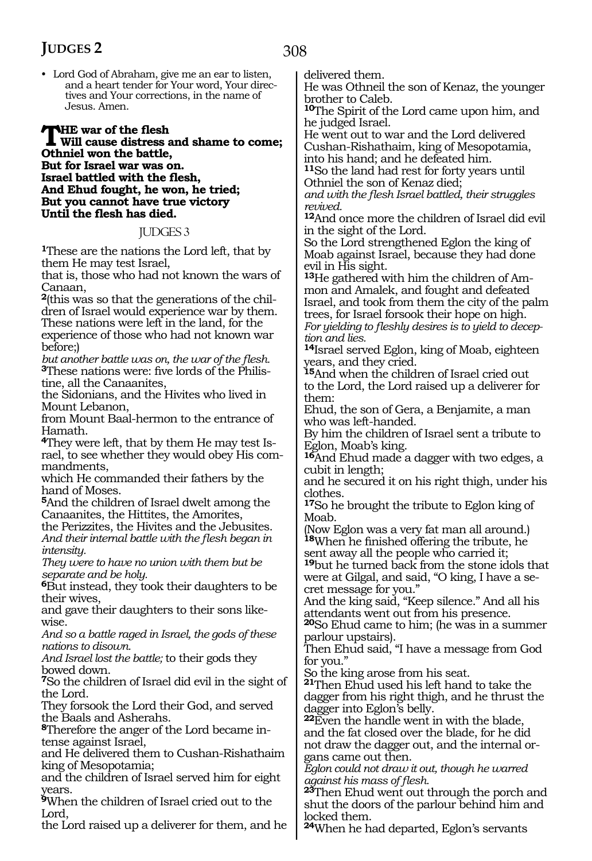• Lord God of Abraham, give me an ear to listen, and a heart tender for Your word, Your directives and Your corrections, in the name of Jesus. Amen.

#### **THE** war of the flesh<br>Will cause distress and shame to come;<br>Othnial way the hattle **Othniel won the battle, But for Israel war was on. Israel battled with the flesh, And Ehud fought, he won, he tried; But you cannot have true victory Until the flesh has died.**

#### JUDGES 3

**<sup>1</sup>**These are the nations the Lord left, that by them He may test Israel,

that is, those who had not known the wars of Canaan,

**2**(this was so that the generations of the children of Israel would experience war by them. These nations were left in the land, for the experience of those who had not known war before;)

*but another battle was on, the war of the flesh.* **3**These nations were: five lords of the Philistine, all the Canaanites,

the Sidonians, and the Hivites who lived in Mount Lebanon,

from Mount Baal-hermon to the entrance of Hamath.

**4**They were left, that by them He may test Israel, to see whether they would obey His commandments,

which He commanded their fathers by the hand of Moses.

**<sup>5</sup>**And the children of Israel dwelt among the Canaanites, the Hittites, the Amorites,

the Perizzites, the Hivites and the Jebusites. *And their internal battle with the flesh began in intensity.*

*They were to have no union with them but be separate and be holy.*

**<sup>6</sup>**But instead, they took their daughters to be their wives,

and gave their daughters to their sons likewise.

*And so a battle raged in Israel, the gods of these nations to disown.*

*And Israel lost the battle;* to their gods they bowed down.

**<sup>7</sup>**So the children of Israel did evil in the sight of the Lord.

They forsook the Lord their God, and served the Baals and Asherahs.

**8**Therefore the anger of the Lord became intense against Israel,

and He delivered them to Cushan-Rishathaim king of Mesopotamia;

and the children of Israel served him for eight years.

**<sup>9</sup>**When the children of Israel cried out to the Lord,

the Lord raised up a deliverer for them, and he

delivered them.

He was Othneil the son of Kenaz, the younger brother to Caleb.

**<sup>10</sup>**The Spirit of the Lord came upon him, and he judged Israel.

He went out to war and the Lord delivered Cushan-Rishathaim, king of Mesopotamia, into his hand; and he defeated him.

**<sup>11</sup>**So the land had rest for forty years until Othniel the son of Kenaz died;

*and with the flesh Israel battled, their struggles revived.*

**<sup>12</sup>**And once more the children of Israel did evil in the sight of the Lord.

So the Lord strengthened Eglon the king of Moab against Israel, because they had done evil in His sight.

**13**He gathered with him the children of Ammon and Amalek, and fought and defeated Israel, and took from them the city of the palm trees, for Israel forsook their hope on high. *For yielding to fleshly desires is to yield to deception and lies.*

**<sup>14</sup>**Israel served Eglon, king of Moab, eighteen years, and they cried.

**<sup>15</sup>**And when the children of Israel cried out to the Lord, the Lord raised up a deliverer for them:

Ehud, the son of Gera, a Benjamite, a man who was left-handed.

By him the children of Israel sent a tribute to Eglon, Moab's king.

**<sup>16</sup>**And Ehud made a dagger with two edges, a cubit in length;

and he secured it on his right thigh, under his clothes.

**<sup>17</sup>**So he brought the tribute to Eglon king of Moab.

(Now Eglon was a very fat man all around.) **<sup>18</sup>**When he finished offering the tribute, he sent away all the people who carried it;

**<sup>19</sup>**but he turned back from the stone idols that were at Gilgal, and said, "O king, I have a secret message for you."

And the king said, "Keep silence." And all his attendants went out from his presence.

**<sup>20</sup>**So Ehud came to him; (he was in a summer parlour upstairs).

Then Ehud said, "I have a message from God for you."

So the king arose from his seat.

**<sup>21</sup>**Then Ehud used his left hand to take the dagger from his right thigh, and he thrust the dagger into Eglon's belly.

**<sup>22</sup>**Even the handle went in with the blade, and the fat closed over the blade, for he did not draw the dagger out, and the internal organs came out then.

*Eglon could not draw it out, though he warred against his mass of flesh.*

**<sup>23</sup>**Then Ehud went out through the porch and shut the doors of the parlour behind him and locked them.

**<sup>24</sup>**When he had departed, Eglon's servants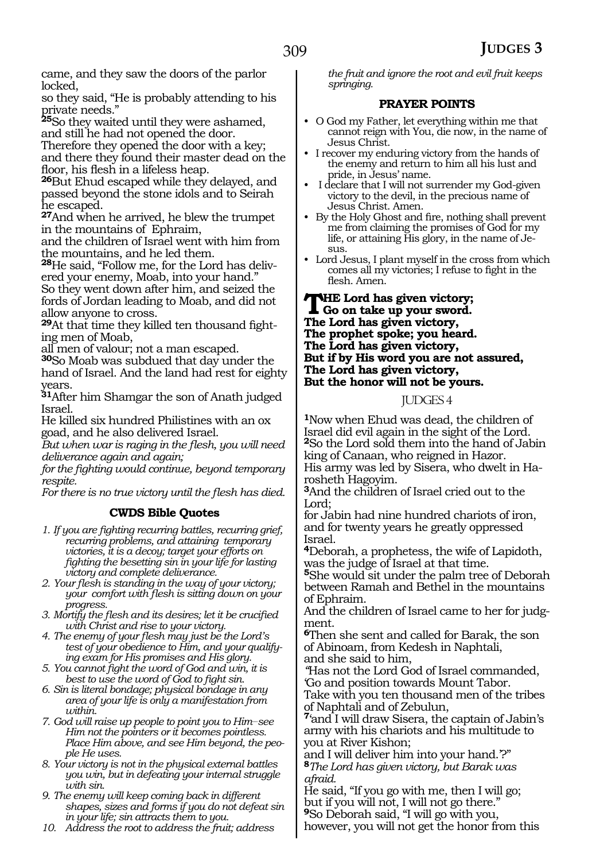came, and they saw the doors of the parlor locked,

so they said, "He is probably attending to his private needs."

**<sup>25</sup>**So they waited until they were ashamed, and still he had not opened the door.

Therefore they opened the door with a key; and there they found their master dead on the floor, his flesh in a lifeless heap.

**<sup>26</sup>**But Ehud escaped while they delayed, and passed beyond the stone idols and to Seirah he escaped.

**<sup>27</sup>**And when he arrived, he blew the trumpet in the mountains of Ephraim,

and the children of Israel went with him from the mountains, and he led them.

**28**He said, "Follow me, for the Lord has delivered your enemy, Moab, into your hand."

So they went down after him, and seized the fords of Jordan leading to Moab, and did not allow anyone to cross.

**29**At that time they killed ten thousand fighting men of Moab,

all men of valour; not a man escaped.

**<sup>30</sup>**So Moab was subdued that day under the hand of Israel. And the land had rest for eighty years.

**<sup>31</sup>**After him Shamgar the son of Anath judged Israel.

He killed six hundred Philistines with an ox goad, and he also delivered Israel.

*But when war is raging in the flesh, you will need deliverance again and again;*

*for the fighting would continue, beyond temporary respite.*

*For there is no true victory until the flesh has died.*

#### **CWDS Bible Quotes**

- *1. If you are fighting recurring battles, recurring grief, recurring problems, and attaining temporary victories, it is a decoy; target your efforts on fighting the besetting sin in your life for lasting victory and complete deliverance.*
- *2. Your flesh is standing in the way of your victory; your comfort with flesh is sitting down on your progress.*
- *3. Mortify the flesh and its desires; let it be crucified with Christ and rise to your victory.*
- *4. The enemy of your flesh may just be the Lord's test of your obedience to Him, and your qualifying exam for His promises and His glory.*
- *5. You cannot fight the word of God and win, it is best to use the word of God to fight sin.*
- *6. Sin is literal bondage; physical bondage in any area of your life is only a manifestation from within.*
- *7. God will raise up people to point you to Him\_\_see Him not the pointers or it becomes pointless. Place Him above, and see Him beyond, the people He uses.*
- *8. Your victory is not in the physical external battles you win, but in defeating your internal struggle with sin.*
- *9. The enemy will keep coming back in different shapes, sizes and forms if you do not defeat sin in your life; sin attracts them to you.*
- *10. Address the root to address the fruit; address*

*the fruit and ignore the root and evil fruit keeps springing.*

#### **PRAYER POINTS**

- O God my Father, let everything within me that cannot reign with You, die now, in the name of Jesus Christ.
- I recover my enduring victory from the hands of the enemy and return to him all his lust and pride, in Jesus' name.
- I declare that I will not surrender my God-given victory to the devil, in the precious name of Jesus Christ. Amen.
- By the Holy Ghost and fire, nothing shall prevent me from claiming the promises of God for my life, or attaining His glory, in the name of Jesus.
- Lord Jesus, I plant myself in the cross from which comes all my victories; I refuse to fight in the flesh. Amen.

**THE** Lord has given victory;<br>
Go on take up your sword. **The Lord has given victory, The prophet spoke; you heard. The Lord has given victory, But if by His word you are not assured, The Lord has given victory, But the honor will not be yours.**

#### JUDGES 4

**<sup>1</sup>**Now when Ehud was dead, the children of Israel did evil again in the sight of the Lord. **<sup>2</sup>**So the Lord sold them into the hand of Jabin king of Canaan, who reigned in Hazor. His army was led by Sisera, who dwelt in Harosheth Hagoyim.

**<sup>3</sup>**And the children of Israel cried out to the Lord;

for Jabin had nine hundred chariots of iron, and for twenty years he greatly oppressed Israel.

**<sup>4</sup>**Deborah, a prophetess, the wife of Lapidoth, was the judge of Israel at that time.

**<sup>5</sup>**She would sit under the palm tree of Deborah between Ramah and Bethel in the mountains of Ephraim.

And the children of Israel came to her for judgment.

**<sup>6</sup>**Then she sent and called for Barak, the son of Abinoam, from Kedesh in Naphtali, and she said to him,

*"*Has not the Lord God of Israel commanded, 'Go and position towards Mount Tabor.

Take with you ten thousand men of the tribes of Naphtali and of Zebulun,

**<sup>7</sup>**'and I will draw Sisera, the captain of Jabin's army with his chariots and his multitude to you at River Kishon;

and I will deliver him into your hand.'?" **<sup>8</sup>***The Lord has given victory, but Barak was afraid.*

He said, "If you go with me, then I will go; but if you will not, I will not go there." **<sup>9</sup>**So Deborah said, "I will go with you, however, you will not get the honor from this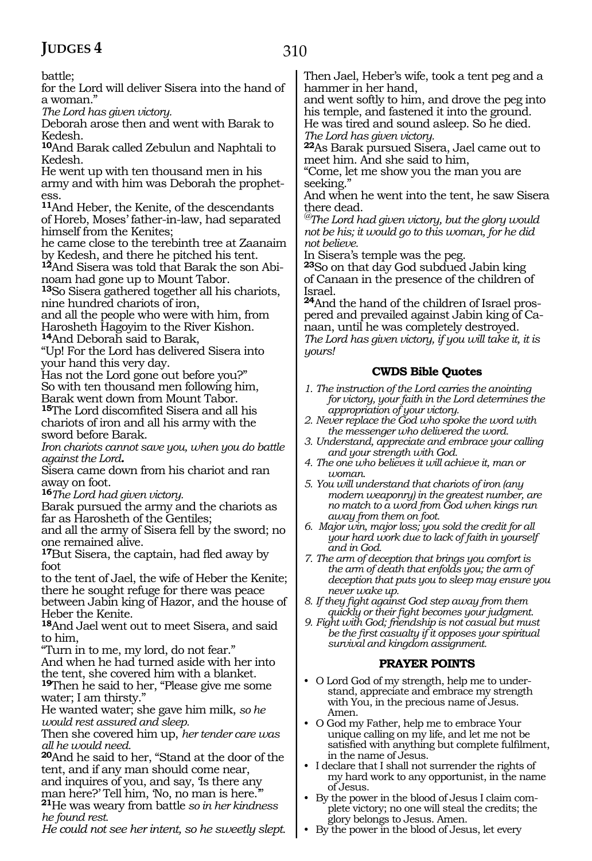battle;

for the Lord will deliver Sisera into the hand of a woman."

*The Lord has given victory.*

Deborah arose then and went with Barak to Kedesh.

**<sup>10</sup>**And Barak called Zebulun and Naphtali to Kedesh.

He went up with ten thousand men in his army and with him was Deborah the prophetess.

**<sup>11</sup>**And Heber, the Kenite, of the descendants of Horeb, Moses' father-in-law, had separated himself from the Kenites;

he came close to the terebinth tree at Zaanaim by Kedesh, and there he pitched his tent.

**12**And Sisera was told that Barak the son Abinoam had gone up to Mount Tabor.

**<sup>13</sup>**So Sisera gathered together all his chariots, nine hundred chariots of iron,

and all the people who were with him, from Harosheth Hagoyim to the River Kishon. **<sup>14</sup>**And Deborah said to Barak,

"Up! For the Lord has delivered Sisera into your hand this very day.

Has not the Lord gone out before you?" So with ten thousand men following him, Barak went down from Mount Tabor.

**<sup>15</sup>**The Lord discomfited Sisera and all his chariots of iron and all his army with the sword before Barak.

*Iron chariots cannot save you, when you do battle against the Lord.*

Sisera came down from his chariot and ran away on foot.

**<sup>16</sup>***The Lord had given victory.*

Barak pursued the army and the chariots as far as Harosheth of the Gentiles;

and all the army of Sisera fell by the sword; no one remained alive.

**<sup>17</sup>**But Sisera, the captain, had fled away by foot

to the tent of Jael, the wife of Heber the Kenite; there he sought refuge for there was peace

between Jabin king of Hazor, and the house of Heber the Kenite.

**<sup>18</sup>**And Jael went out to meet Sisera, and said to him,

"Turn in to me, my lord, do not fear." And when he had turned aside with her into the tent, she covered him with a blanket.

**<sup>19</sup>**Then he said to her, "Please give me some water; I am thirsty."

He wanted water; she gave him milk, *so he would rest assured and sleep.*

Then she covered him up, *her tender care was all he would need.*

**<sup>20</sup>**And he said to her, "Stand at the door of the tent, and if any man should come near, and inquires of you, and say, 'Is there any man here?' Tell him, 'No, no man is here.'"

**<sup>21</sup>**He was weary from battle *so in her kindness he found rest.*

*He could not see her intent, so he sweetly slept.*

Then Jael, Heber's wife, took a tent peg and a hammer in her hand,

and went softly to him, and drove the peg into his temple, and fastened it into the ground. He was tired and sound asleep. So he died. *The Lord has given victory.*

**<sup>22</sup>**As Barak pursued Sisera, Jael came out to meet him. And she said to him,

"Come, let me show you the man you are seeking.

And when he went into the tent, he saw Sisera there dead.

*@The Lord had given victory, but the glory would not be his; it would go to this woman, for he did not believe.*

In Sisera's temple was the peg.

**<sup>23</sup>**So on that day God subdued Jabin king of Canaan in the presence of the children of Israel.

**24**And the hand of the children of Israel prospered and prevailed against Jabin king of Canaan, until he was completely destroyed. *The Lord has given victory, if you will take it, it is yours!*

#### **CWDS Bible Quotes**

- *1. The instruction of the Lord carries the anointing for victory, your faith in the Lord determines the appropriation of your victory.*
- *2. Never replace the God who spoke the word with the messenger who delivered the word.*
- *3. Understand, appreciate and embrace your calling and your strength with God.*
- *4. The one who believes it will achieve it, man or woman.*
- *5. You will understand that chariots of iron (any modern weaponry) in the greatest number, are no match to a word from God when kings run away from them on foot.*
- *6. Major win, major loss; you sold the credit for all your hard work due to lack of faith in yourself and in God.*
- *7. The arm of deception that brings you comfort is the arm of death that enfolds you; the arm of deception that puts you to sleep may ensure you never wake up.*
- *8. If they fight against God step away from them quickly or their fight becomes your judgment.*
- *9. Fight with God; friendship is not casual but must be the first casualty if it opposes your spiritual survival and kingdom assignment.*

#### **PRAYER POINTS**

- O Lord God of my strength, help me to understand, appreciate and embrace my strength with You, in the precious name of Jesus. Amen.
- O God my Father, help me to embrace Your unique calling on my life, and let me not be satisfied with anything but complete fulfilment, in the name of Jesus.
- I declare that I shall not surrender the rights of my hard work to any opportunist, in the name of Jesus.
- By the power in the blood of Jesus I claim complete victory; no one will steal the credits; the glory belongs to Jesus. Amen.
- By the power in the blood of Jesus, let every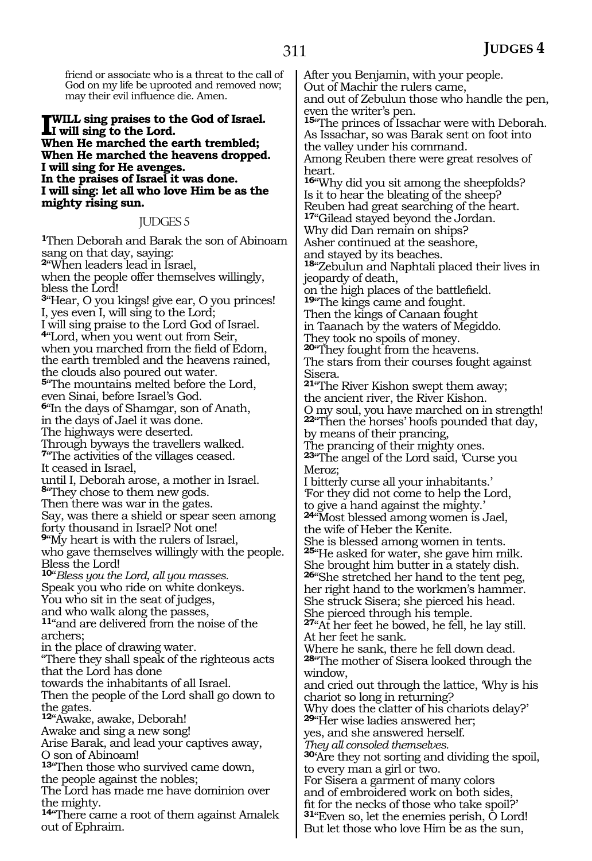friend or associate who is a threat to the call of God on my life be uprooted and removed now; may their evil influence die. Amen.

#### **I** WILL sing praises to the God of Israel.<br> **II** will sing to the Lord.<br>
When He membed the earth trambled. **When He marched the earth trembled; When He marched the heavens dropped. I will sing for He avenges. In the praises of Israel it was done. I will sing: let all who love Him be as the mighty rising sun.**

#### JUDGES 5

**<sup>1</sup>**Then Deborah and Barak the son of Abinoam sang on that day, saying: **<sup>2</sup>**"When leaders lead in Israel, when the people offer themselves willingly, bless the Lord! **<sup>3</sup>**"Hear, O you kings! give ear, O you princes! I, yes even I, will sing to the Lord; I will sing praise to the Lord God of Israel. **<sup>4</sup>**"Lord, when you went out from Seir, when you marched from the field of Edom, the earth trembled and the heavens rained, the clouds also poured out water. **<sup>5</sup>**"The mountains melted before the Lord, even Sinai, before Israel's God. **<sup>6</sup>**"In the days of Shamgar, son of Anath, in the days of Jael it was done. The highways were deserted. Through byways the travellers walked. **<sup>7</sup>**"The activities of the villages ceased. It ceased in Israel, until I, Deborah arose, a mother in Israel. **<sup>8</sup>**"They chose to them new gods. Then there was war in the gates. Say, was there a shield or spear seen among forty thousand in Israel? Not one! **<sup>9</sup>**"My heart is with the rulers of Israel, who gave themselves willingly with the people. Bless the Lord! **<sup>10</sup>**"*Bless you the Lord, all you masses.* Speak you who ride on white donkeys. You who sit in the seat of judges, and who walk along the passes, **<sup>11</sup>**"and are delivered from the noise of the archers; in the place of drawing water. "There they shall speak of the righteous acts that the Lord has done towards the inhabitants of all Israel. Then the people of the Lord shall go down to the gates. **<sup>12</sup>**"Awake, awake, Deborah! Awake and sing a new song! Arise Barak, and lead your captives away, O son of Abinoam! **<sup>13</sup>**"Then those who survived came down, the people against the nobles; The Lord has made me have dominion over the mighty. **<sup>14</sup>**"There came a root of them against Amalek out of Ephraim.

After you Benjamin, with your people. Out of Machir the rulers came, and out of Zebulun those who handle the pen, even the writer's pen. **<sup>15</sup>**"The princes of Issachar were with Deborah. As Issachar, so was Barak sent on foot into

the valley under his command. Among Reuben there were great resolves of

heart.

**<sup>16</sup>**"Why did you sit among the sheepfolds? Is it to hear the bleating of the sheep? Reuben had great searching of the heart. **<sup>17</sup>**"Gilead stayed beyond the Jordan.

Why did Dan remain on ships?

Asher continued at the seashore, and stayed by its beaches.

**<sup>18</sup>**"Zebulun and Naphtali placed their lives in jeopardy of death,

on the high places of the battlefield. **<sup>19</sup>**"The kings came and fought.

Then the kings of Canaan fought

in Taanach by the waters of Megiddo.

They took no spoils of money.

**<sup>20</sup>**"They fought from the heavens. The stars from their courses fought against Sisera.

**<sup>21</sup>**"The River Kishon swept them away; the ancient river, the River Kishon. O my soul, you have marched on in strength! **<sup>22</sup>**"Then the horses' hoofs pounded that day, by means of their prancing,

The prancing of their mighty ones.

**<sup>23</sup>**"The angel of the Lord said, 'Curse you Meroz;

I bitterly curse all your inhabitants.' 'For they did not come to help the Lord, to give a hand against the mighty.' **<sup>24</sup>**"Most blessed among women is Jael,

the wife of Heber the Kenite. She is blessed among women in tents. **<sup>25</sup>**"He asked for water, she gave him milk. She brought him butter in a stately dish.

**<sup>26</sup>**"She stretched her hand to the tent peg, her right hand to the workmen's hammer. She struck Sisera; she pierced his head. She pierced through his temple.

**<sup>27</sup>**"At her feet he bowed, he fell, he lay still. At her feet he sank.

Where he sank, there he fell down dead. **<sup>28</sup>**"The mother of Sisera looked through the window,

and cried out through the lattice, 'Why is his chariot so long in returning?

Why does the clatter of his chariots delay?' **<sup>29</sup>**"Her wise ladies answered her;

yes, and she answered herself.

*They all consoled themselves.*

**<sup>30</sup>**'Are they not sorting and dividing the spoil, to every man a girl or two.

For Sisera a garment of many colors

and of embroidered work on both sides,

fit for the necks of those who take spoil?' **<sup>31</sup>**"Even so, let the enemies perish, O Lord!

But let those who love Him be as the sun,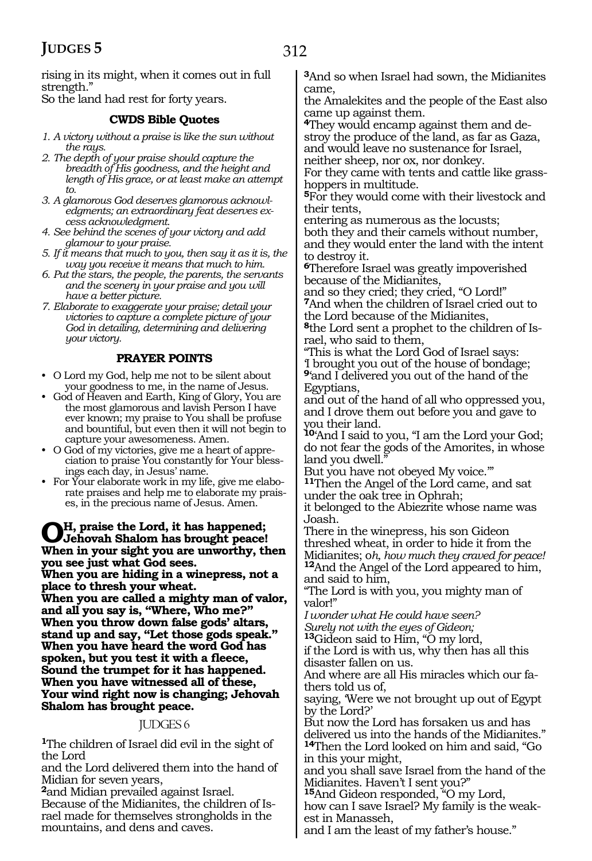rising in its might, when it comes out in full strength."

So the land had rest for forty years.

#### **CWDS Bible Quotes**

- *1. A victory without a praise is like the sun without the rays.*
- *2. The depth of your praise should capture the breadth of His goodness, and the height and length of His grace, or at least make an attempt to.*
- *3. A glamorous God deserves glamorous acknowledgments; an extraordinary feat deserves excess acknowledgment.*
- *4. See behind the scenes of your victory and add glamour to your praise.*
- *5. If it means that much to you, then say it as it is, the way you receive it means that much to him.*
- *6. Put the stars, the people, the parents, the servants and the scenery in your praise and you will have a better picture.*
- *7. Elaborate to exaggerate your praise; detail your victories to capture a complete picture of your God in detailing, determining and delivering your victory.*

#### **PRAYER POINTS**

- O Lord my God, help me not to be silent about your goodness to me, in the name of Jesus.
- God of Heaven and Earth, King of Glory, You are the most glamorous and lavish Person I have ever known; my praise to You shall be profuse and bountiful, but even then it will not begin to capture your awesomeness. Amen.
- O God of my victories, give me a heart of appreciation to praise You constantly for Your blessings each day, in Jesus' name.
- For Your elaborate work in my life, give me elaborate praises and help me to elaborate my praises, in the precious name of Jesus. Amen.

**Oh, praise the Lord, it has happened; Jehovah Shalom has brought peace! When in your sight you are unworthy, then you see just what God sees.** 

**When you are hiding in a winepress, not a place to thresh your wheat.** 

**When you are called a mighty man of valor, and all you say is, "Where, Who me?" When you throw down false gods' altars, stand up and say, "Let those gods speak." When you have heard the word God has spoken, but you test it with a fleece, Sound the trumpet for it has happened. When you have witnessed all of these, Your wind right now is changing; Jehovah Shalom has brought peace.** 

#### JUDGES 6

**<sup>1</sup>**The children of Israel did evil in the sight of the Lord

and the Lord delivered them into the hand of Midian for seven years,

**<sup>2</sup>**and Midian prevailed against Israel. Because of the Midianites, the children of Israel made for themselves strongholds in the mountains, and dens and caves.

**<sup>3</sup>**And so when Israel had sown, the Midianites came,

the Amalekites and the people of the East also came up against them.

**4**They would encamp against them and destroy the produce of the land, as far as Gaza, and would leave no sustenance for Israel,

neither sheep, nor ox, nor donkey.

For they came with tents and cattle like grasshoppers in multitude.

**<sup>5</sup>**For they would come with their livestock and their tents,

entering as numerous as the locusts; both they and their camels without number, and they would enter the land with the intent to destroy it.

**<sup>6</sup>**Therefore Israel was greatly impoverished because of the Midianites,

and so they cried; they cried, "O Lord!" **<sup>7</sup>**And when the children of Israel cried out to the Lord because of the Midianites,

**8**the Lord sent a prophet to the children of Israel, who said to them,

"This is what the Lord God of Israel says: 'I brought you out of the house of bondage; **<sup>9</sup>**'and I delivered you out of the hand of the Egyptians,

and out of the hand of all who oppressed you, and I drove them out before you and gave to you their land.

**<sup>10</sup>**'And I said to you, "I am the Lord your God; do not fear the gods of the Amorites, in whose land you dwell.

But you have not obeyed My voice."

**<sup>11</sup>**Then the Angel of the Lord came, and sat under the oak tree in Ophrah;

it belonged to the Abiezrite whose name was Joash.

There in the winepress, his son Gideon threshed wheat, in order to hide it from the<br>Midianites; oh, how much they craved for peace! <sup>12</sup>And the Angel of the Lord appeared to him, and said to him,

"The Lord is with you, you mighty man of valor!"

*I wonder what He could have seen? Surely not with the eyes of Gideon;* 

**<sup>13</sup>**Gideon said to Him, "O my lord,

if the Lord is with us, why then has all this disaster fallen on us.

And where are all His miracles which our fathers told us of,

saying, 'Were we not brought up out of Egypt by the Lord?'

But now the Lord has forsaken us and has delivered us into the hands of the Midianites." **<sup>14</sup>**Then the Lord looked on him and said, "Go in this your might,

and you shall save Israel from the hand of the Midianites. Haven't I sent you?"

**<sup>15</sup>**And Gideon responded, "O my Lord,

how can I save Israel? My family is the weakest in Manasseh,

and I am the least of my father's house."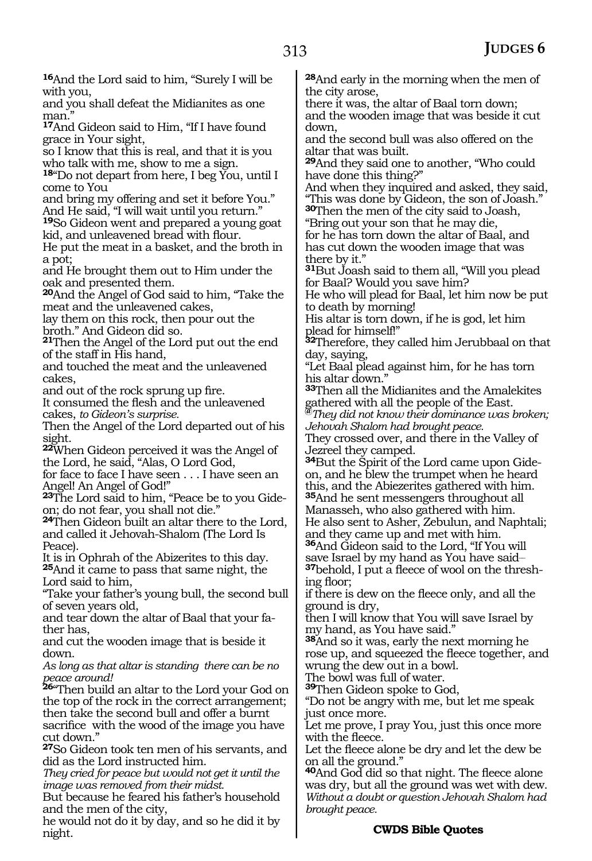**<sup>16</sup>**And the Lord said to him, "Surely I will be with you,

and you shall defeat the Midianites as one man.'

**<sup>17</sup>**And Gideon said to Him, "If I have found grace in Your sight,

so I know that this is real, and that it is you who talk with me, show to me a sign.

**<sup>18</sup>**"Do not depart from here, I beg You, until I come to You

and bring my offering and set it before You." And He said, "I will wait until you return."

**<sup>19</sup>**So Gideon went and prepared a young goat kid, and unleavened bread with flour.

He put the meat in a basket, and the broth in a pot;

and He brought them out to Him under the oak and presented them.

**<sup>20</sup>**And the Angel of God said to him, "Take the meat and the unleavened cakes,

lay them on this rock, then pour out the broth." And Gideon did so.

**<sup>21</sup>**Then the Angel of the Lord put out the end of the staff in His hand,

and touched the meat and the unleavened cakes,

and out of the rock sprung up fire.

It consumed the flesh and the unleavened cakes, *to Gideon's surprise.* 

Then the Angel of the Lord departed out of his sight.

**<sup>22</sup>**When Gideon perceived it was the Angel of the Lord, he said, "Alas, O Lord God,

for face to face I have seen . . . I have seen an Angel! An Angel of God!"

**23**The Lord said to him, "Peace be to you Gideon; do not fear, you shall not die."

**<sup>24</sup>**Then Gideon built an altar there to the Lord, and called it Jehovah-Shalom (The Lord Is Peace).

It is in Ophrah of the Abizerites to this day. **<sup>25</sup>**And it came to pass that same night, the Lord said to him,

"Take your father's young bull, the second bull of seven years old,

and tear down the altar of Baal that your father has,

and cut the wooden image that is beside it down.

*As long as that altar is standing there can be no peace around!* 

**<sup>26</sup>**"Then build an altar to the Lord your God on the top of the rock in the correct arrangement; then take the second bull and offer a burnt

sacrifice with the wood of the image you have cut down."

**<sup>27</sup>**So Gideon took ten men of his servants, and did as the Lord instructed him.

*They cried for peace but would not get it until the image was removed from their midst.* 

But because he feared his father's household and the men of the city,

he would not do it by day, and so he did it by night.

**<sup>28</sup>**And early in the morning when the men of the city arose,

there it was, the altar of Baal torn down; and the wooden image that was beside it cut down,

and the second bull was also offered on the altar that was built.

**<sup>29</sup>**And they said one to another, "Who could have done this thing?"

And when they inquired and asked, they said, "This was done by Gideon, the son of Joash."

**<sup>30</sup>**Then the men of the city said to Joash, "Bring out your son that he may die,

for he has torn down the altar of Baal, and has cut down the wooden image that was there by it."

**<sup>31</sup>**But Joash said to them all, "Will you plead for Baal? Would you save him?

He who will plead for Baal, let him now be put to death by morning!

His altar is torn down, if he is god, let him plead for himself!"

**<sup>32</sup>**Therefore, they called him Jerubbaal on that day, saying,

"Let Baal plead against him, for he has torn his altar down."

**<sup>33</sup>**Then all the Midianites and the Amalekites gathered with all the people of the East.

**@***They did not know their dominance was broken; Jehovah Shalom had brought peace.* 

They crossed over, and there in the Valley of Jezreel they camped.

**34**But the Spirit of the Lord came upon Gideon, and he blew the trumpet when he heard this, and the Abiezerites gathered with him. **<sup>35</sup>**And he sent messengers throughout all Manasseh, who also gathered with him. He also sent to Asher, Zebulun, and Naphtali;

and they came up and met with him. **<sup>36</sup>**And Gideon said to the Lord, "If You will save Israel by my hand as You have said-**37**behold, I put a fleece of wool on the threshing floor;

if there is dew on the fleece only, and all the ground is dry,

then I will know that You will save Israel by my hand, as You have said."

**<sup>38</sup>**And so it was, early the next morning he rose up, and squeezed the fleece together, and wrung the dew out in a bowl.

The bowl was full of water.

**<sup>39</sup>**Then Gideon spoke to God,

"Do not be angry with me, but let me speak just once more.

Let me prove, I pray You, just this once more with the fleece.

Let the fleece alone be dry and let the dew be on all the ground."

**<sup>40</sup>**And God did so that night. The fleece alone was dry, but all the ground was wet with dew. *Without a doubt or question Jehovah Shalom had brought peace.* 

#### **CWDS Bible Quotes**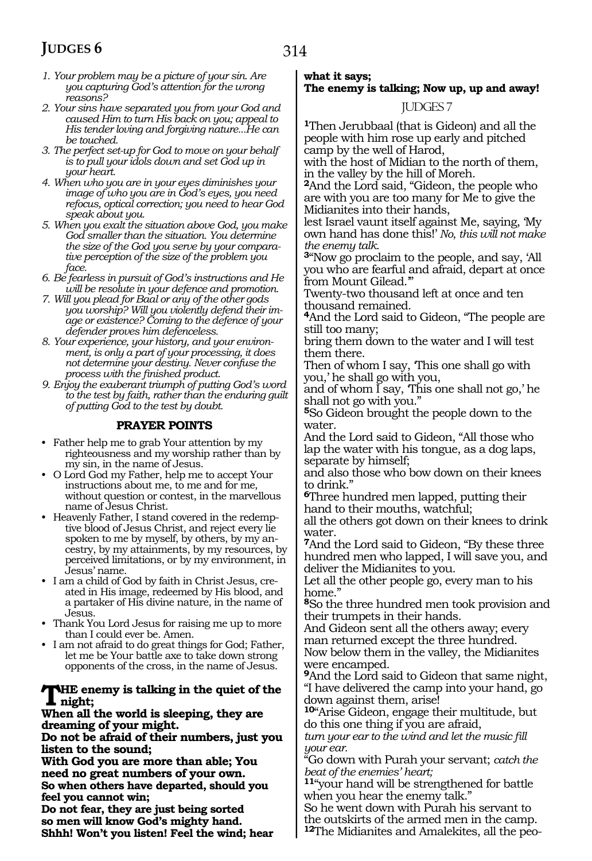- 314
- *1. Your problem may be a picture of your sin. Are you capturing God's attention for the wrong reasons?*
- *2. Your sins have separated you from your God and caused Him to turn His back on you; appeal to His tender loving and forgiving nature...He can be touched.*
- *3. The perfect set-up for God to move on your behalf is to pull your idols down and set God up in your heart.*
- *4. When who you are in your eyes diminishes your image of who you are in God's eyes, you need refocus, optical correction; you need to hear God speak about you.*
- *5. When you exalt the situation above God, you make God smaller than the situation. You determine the size of the God you serve by your comparative perception of the size of the problem you face.*
- *6. Be fearless in pursuit of God's instructions and He will be resolute in your defence and promotion.*
- *7. Will you plead for Baal or any of the other gods you worship? Will you violently defend their image or existence? Coming to the defence of your defender proves him defenceless.*
- *8. Your experience, your history, and your environment, is only a part of your processing, it does not determine your destiny. Never confuse the process with the finished product.*
- *9. Enjoy the exuberant triumph of putting God's word to the test by faith, rather than the enduring guilt of putting God to the test by doubt.*

#### **PRAYER POINTS**

- Father help me to grab Your attention by my righteousness and my worship rather than by my sin, in the name of Jesus.
- O Lord God my Father, help me to accept Your instructions about me, to me and for me, without question or contest, in the marvellous name of Jesus Christ.
- Heavenly Father, I stand covered in the redemptive blood of Jesus Christ, and reject every lie spoken to me by myself, by others, by my ancestry, by my attainments, by my resources, by perceived limitations, or by my environment, in Jesus' name.
- I am a child of God by faith in Christ Jesus, created in His image, redeemed by His blood, and a partaker of His divine nature, in the name of Jesus.
- Thank You Lord Jesus for raising me up to more than I could ever be. Amen.
- I am not afraid to do great things for God; Father, let me be Your battle axe to take down strong opponents of the cross, in the name of Jesus.

#### **The enemy is talking in the quiet of the night;**

**When all the world is sleeping, they are dreaming of your might.**

**Do not be afraid of their numbers, just you listen to the sound;**

**With God you are more than able; You need no great numbers of your own. So when others have departed, should you feel you cannot win;**

**Do not fear, they are just being sorted so men will know God's mighty hand. Shhh! Won't you listen! Feel the wind; hear** 

#### **what it says; The enemy is talking; Now up, up and away!**

JUDGES 7

**<sup>1</sup>**Then Jerubbaal (that is Gideon) and all the people with him rose up early and pitched camp by the well of Harod,

with the host of Midian to the north of them, in the valley by the hill of Moreh.

**<sup>2</sup>**And the Lord said, "Gideon, the people who are with you are too many for Me to give the Midianites into their hands,

lest Israel vaunt itself against Me, saying, 'My own hand has done this!' *No*, *this will not make the enemy talk.*

**<sup>3</sup>**"Now go proclaim to the people, and say, 'All you who are fearful and afraid, depart at once from Mount Gilead.'"

Twenty-two thousand left at once and ten thousand remained.

**<sup>4</sup>**And the Lord said to Gideon, "The people are still too many;

bring them down to the water and I will test them there.

Then of whom I say, 'This one shall go with you,' he shall go with you,

and of whom I say, 'This one shall not go,' he shall not go with you."

**<sup>5</sup>**So Gideon brought the people down to the water.

And the Lord said to Gideon, "All those who lap the water with his tongue, as a dog laps, separate by himself;

and also those who bow down on their knees to drink."

**<sup>6</sup>**Three hundred men lapped, putting their hand to their mouths, watchful;

all the others got down on their knees to drink water.

**<sup>7</sup>**And the Lord said to Gideon, "By these three hundred men who lapped, I will save you, and deliver the Midianites to you.

Let all the other people go, every man to his home."

**<sup>8</sup>**So the three hundred men took provision and their trumpets in their hands.

And Gideon sent all the others away; every man returned except the three hundred. Now below them in the valley, the Midianites were encamped.

**<sup>9</sup>**And the Lord said to Gideon that same night, "I have delivered the camp into your hand, go down against them, arise!

**<sup>10</sup>**"Arise Gideon, engage their multitude, but do this one thing if you are afraid,

*turn your ear to the wind and let the music fill your ear.*

"Go down with Purah your servant; *catch the beat of the enemies' heart;*

**<sup>11</sup>**"your hand will be strengthened for battle when you hear the enemy talk."

So he went down with Purah his servant to the outskirts of the armed men in the camp.

**12**The Midianites and Amalekites, all the peo-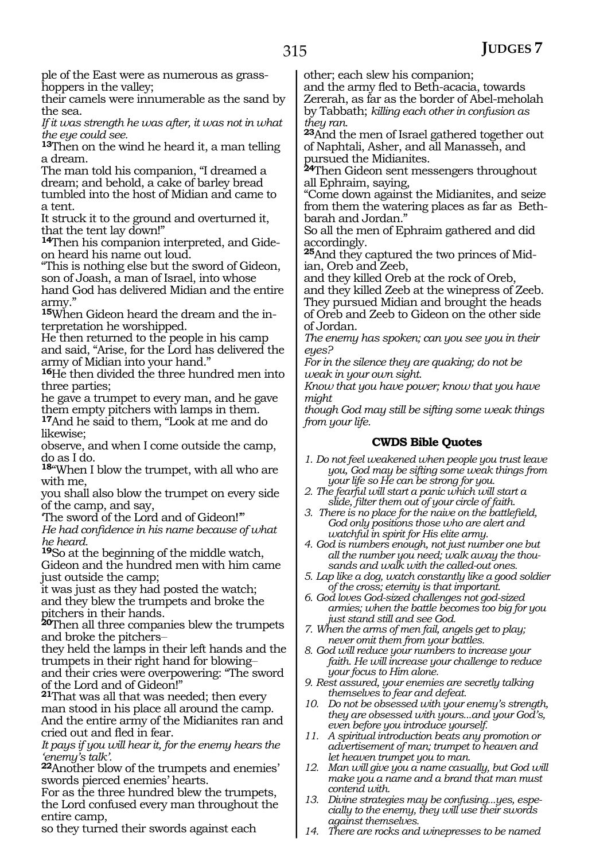ple of the East were as numerous as grasshoppers in the valley;

their camels were innumerable as the sand by the sea.

*If it was strength he was after, it was not in what the eye could see.*

**<sup>13</sup>**Then on the wind he heard it, a man telling a dream.

The man told his companion, "I dreamed a dream; and behold, a cake of barley bread tumbled into the host of Midian and came to a tent.

It struck it to the ground and overturned it, that the tent lay down!"

**14**Then his companion interpreted, and Gideon heard his name out loud.

"This is nothing else but the sword of Gideon, son of Joash, a man of Israel, into whose hand God has delivered Midian and the entire

army."

**15**When Gideon heard the dream and the interpretation he worshipped.

He then returned to the people in his camp and said, "Arise, for the Lord has delivered the army of Midian into your hand."

**<sup>16</sup>**He then divided the three hundred men into three parties;

he gave a trumpet to every man, and he gave them empty pitchers with lamps in them.

**<sup>17</sup>**And he said to them, "Look at me and do likewise;

observe, and when I come outside the camp, do as I do.

**<sup>18</sup>**"When I blow the trumpet, with all who are with me,

you shall also blow the trumpet on every side of the camp, and say,

'The sword of the Lord and of Gideon!'"

*He had confidence in his name because of what he heard.* 

**<sup>19</sup>**So at the beginning of the middle watch, Gideon and the hundred men with him came just outside the camp;

it was just as they had posted the watch; and they blew the trumpets and broke the pitchers in their hands.

**<sup>20</sup>**Then all three companies blew the trumpets and broke the pitchers\_\_

they held the lamps in their left hands and the trumpets in their right hand for blowing\_\_

and their cries were overpowering: "The sword of the Lord and of Gideon!"

**<sup>21</sup>**That was all that was needed; then every man stood in his place all around the camp. And the entire army of the Midianites ran and cried out and fled in fear.

*It pays if you will hear it, for the enemy hears the 'enemy's talk'.*

**<sup>22</sup>**Another blow of the trumpets and enemies' swords pierced enemies' hearts.

For as the three hundred blew the trumpets, the Lord confused every man throughout the entire camp,

so they turned their swords against each

other; each slew his companion;

and the army fled to Beth-acacia, towards Zererah, as far as the border of Abel-meholah by Tabbath; *killing each other in confusion as they ran.*

**<sup>23</sup>**And the men of Israel gathered together out of Naphtali, Asher, and all Manasseh, and pursued the Midianites.

**<sup>24</sup>**Then Gideon sent messengers throughout all Ephraim, saying,

"Come down against the Midianites, and seize from them the watering places as far as Bethbarah and Jordan."

So all the men of Ephraim gathered and did accordingly.

**25**And they captured the two princes of Midian, Oreb and Zeeb,

and they killed Oreb at the rock of Oreb,

and they killed Zeeb at the winepress of Zeeb. They pursued Midian and brought the heads of Oreb and Zeeb to Gideon on the other side of Jordan.

*The enemy has spoken; can you see you in their eyes?*

*For in the silence they are quaking; do not be weak in your own sight.*

*Know that you have power; know that you have might*

*though God may still be sifting some weak things from your life.*

#### **CWDS Bible Quotes**

- *1. Do not feel weakened when people you trust leave you, God may be sifting some weak things from your life so He can be strong for you.*
- *2. The fearful will start a panic which will start a slide, filter them out of your circle of faith.*
- *3. There is no place for the naive on the battlefield, God only positions those who are alert and watchful in spirit for His elite army.*
- *4. God is numbers enough, not just number one but all the number you need; walk away the thousands and walk with the called-out ones.*
- *5. Lap like a dog, watch constantly like a good soldier of the cross; eternity is that important.*
- *6. God loves God-sized challenges not god-sized armies; when the battle becomes too big for you just stand still and see God.*
- *7. When the arms of men fail, angels get to play; never omit them from your battles.*
- *8. God will reduce your numbers to increase your faith. He will increase your challenge to reduce your focus to Him alone.*
- *9. Rest assured, your enemies are secretly talking themselves to fear and defeat.*
- *10. Do not be obsessed with your enemy's strength, they are obsessed with yours...and your God's, even before you introduce yourself.*
- *11. A spiritual introduction beats any promotion or advertisement of man; trumpet to heaven and let heaven trumpet you to man.*
- *12. Man will give you a name casually, but God will make you a name and a brand that man must contend with.*
- *13. Divine strategies may be confusing...yes, especially to the enemy, they will use their swords against themselves.*
- *14. There are rocks and winepresses to be named*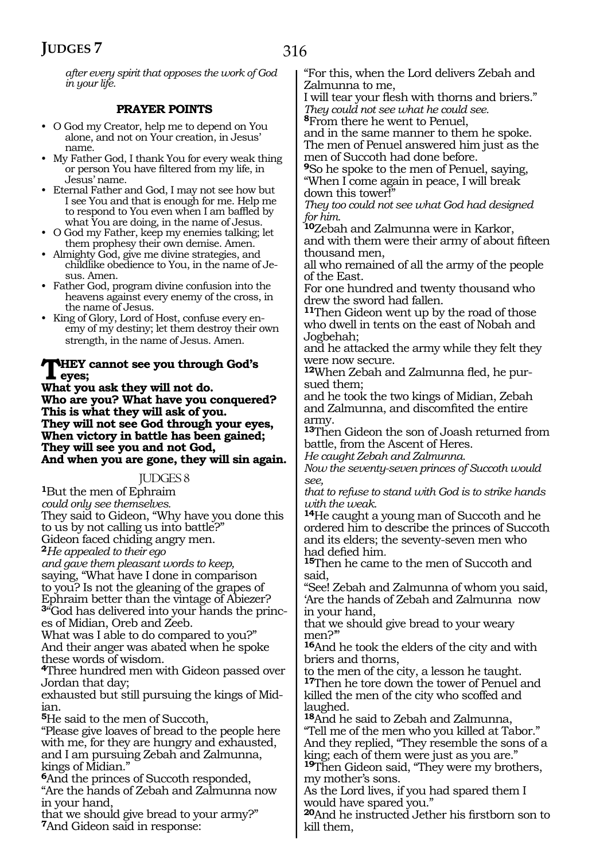*after every spirit that opposes the work of God in your life.*

#### **PRAYER POINTS**

- O God my Creator, help me to depend on You alone, and not on Your creation, in Jesus' name.
- My Father God, I thank You for every weak thing or person You have filtered from my life, in Jesus' name.
- Eternal Father and God, I may not see how but I see You and that is enough for me. Help me to respond to You even when I am baffled by what You are doing, in the name of Jesus.
- O God my Father, keep my enemies talking; let them prophesy their own demise. Amen.
- Almighty God, give me divine strategies, and childlike obedience to You, in the name of Jesus. Amen.
- Father God, program divine confusion into the heavens against every enemy of the cross, in the name of Jesus.
- King of Glory, Lord of Host, confuse every enemy of my destiny; let them destroy their own strength, in the name of Jesus. Amen.

#### **They cannot see you through God's eyes;**

**What you ask they will not do. Who are you? What have you conquered? This is what they will ask of you. They will not see God through your eyes, When victory in battle has been gained; They will see you and not God, And when you are gone, they will sin again.**

#### JUDGES 8

**<sup>1</sup>**But the men of Ephraim *could only see themselves.*  They said to Gideon, "Why have you done this to us by not calling us into battle?" Gideon faced chiding angry men. **<sup>2</sup>***He appealed to their ego and gave them pleasant words to keep,* saying, "What have I done in comparison to you? Is not the gleaning of the grapes of Ephraim better than the vintage of Abiezer? **3**"God has delivered into your hands the princes of Midian, Oreb and Zeeb. What was I able to do compared to you?" And their anger was abated when he spoke these words of wisdom. **<sup>4</sup>**Three hundred men with Gideon passed over Jordan that day; exhausted but still pursuing the kings of Midian. **<sup>5</sup>**He said to the men of Succoth,

"Please give loaves of bread to the people here with me, for they are hungry and exhausted, and I am pursuing Zebah and Zalmunna, kings of Midian."

**<sup>6</sup>**And the princes of Succoth responded, "Are the hands of Zebah and Zalmunna now in your hand,

that we should give bread to your army?" **<sup>7</sup>**And Gideon said in response:

"For this, when the Lord delivers Zebah and Zalmunna to me,

I will tear your flesh with thorns and briers." *They could not see what he could see.*

**<sup>8</sup>**From there he went to Penuel,

and in the same manner to them he spoke. The men of Penuel answered him just as the men of Succoth had done before.

**<sup>9</sup>**So he spoke to the men of Penuel, saying, "When I come again in peace, I will break down this tower!

*They too could not see what God had designed for him.* 

**<sup>10</sup>**Zebah and Zalmunna were in Karkor, and with them were their army of about fifteen thousand men,

all who remained of all the army of the people of the East.

For one hundred and twenty thousand who drew the sword had fallen.

**<sup>11</sup>**Then Gideon went up by the road of those who dwell in tents on the east of Nobah and Jogbehah;

and he attacked the army while they felt they were now secure.

**12**When Zebah and Zalmunna fled, he pursued them;

and he took the two kings of Midian, Zebah and Zalmunna, and discomfited the entire army.

**<sup>13</sup>**Then Gideon the son of Joash returned from battle, from the Ascent of Heres.

*He caught Zebah and Zalmunna.*

*Now the seventy-seven princes of Succoth would see,*

*that to refuse to stand with God is to strike hands with the weak.*

**<sup>14</sup>**He caught a young man of Succoth and he ordered him to describe the princes of Succoth and its elders; the seventy-seven men who

had defied him*.* **<sup>15</sup>**Then he came to the men of Succoth and said,

"See! Zebah and Zalmunna of whom you said, 'Are the hands of Zebah and Zalmunna now in your hand,

that we should give bread to your weary men?'"

**<sup>16</sup>**And he took the elders of the city and with briers and thorns,

to the men of the city, a lesson he taught. **<sup>17</sup>**Then he tore down the tower of Penuel and killed the men of the city who scoffed and laughed.

**<sup>18</sup>**And he said to Zebah and Zalmunna, "Tell me of the men who you killed at Tabor." And they replied, "They resemble the sons of a king; each of them were just as you are."

**<sup>19</sup>**Then Gideon said, "They were my brothers, my mother's sons.

As the Lord lives, if you had spared them I would have spared you."

**<sup>20</sup>**And he instructed Jether his firstborn son to kill them,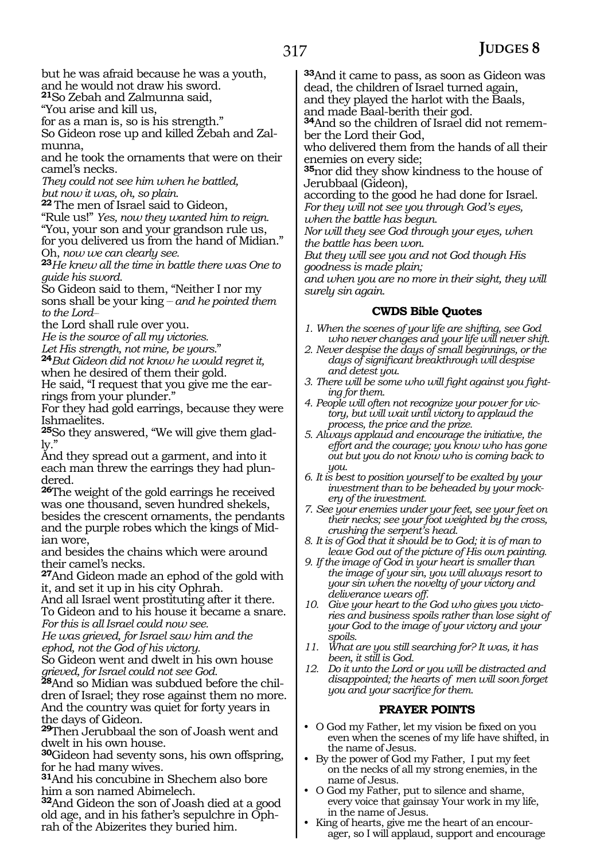but he was afraid because he was a youth, and he would not draw his sword.

**<sup>21</sup>**So Zebah and Zalmunna said,

"You arise and kill us,

for as a man is, so is his strength."

So Gideon rose up and killed Zebah and Zalmunna,

and he took the ornaments that were on their camel's necks.

*They could not see him when he battled, but now it was, oh, so plain.*

**<sup>22</sup>**The men of Israel said to Gideon,

"Rule us!" *Yes, now they wanted him to reign.* "You, your son and your grandson rule us, for you delivered us from the hand of Midian."

Oh, *now we can clearly see.* **<sup>23</sup>***He knew all the time in battle there was One to guide his sword.*

So Gideon said to them, "Neither I nor my sons shall be your king – *and he pointed them to the Lord\_\_*

the Lord shall rule over you.

*He is the source of all my victories.*

*Let His strength, not mine, be yours.*" **<sup>24</sup>***But Gideon did not know he would regret it,* when he desired of them their gold.

He said, "I request that you give me the earrings from your plunder."

For they had gold earrings, because they were Ishmaelites.

**25**So they answered, "We will give them gladly."

And they spread out a garment, and into it each man threw the earrings they had plun- dered.

**<sup>26</sup>**The weight of the gold earrings he received was one thousand, seven hundred shekels, besides the crescent ornaments, the pendants and the purple robes which the kings of Midian wore,

and besides the chains which were around their camel's necks.

**<sup>27</sup>**And Gideon made an ephod of the gold with it, and set it up in his city Ophrah.

And all Israel went prostituting after it there. To Gideon and to his house it became a snare. *For this is all Israel could now see.*

*He was grieved, for Israel saw him and the ephod, not the God of his victory.*

So Gideon went and dwelt in his own house *grieved, for Israel could not see God.*

**28**And so Midian was subdued before the children of Israel; they rose against them no more. And the country was quiet for forty years in the days of Gideon.

**<sup>29</sup>**Then Jerubbaal the son of Joash went and dwelt in his own house.

**<sup>30</sup>**Gideon had seventy sons, his own offspring, for he had many wives.

**<sup>31</sup>**And his concubine in Shechem also bore him a son named Abimelech.

**<sup>32</sup>**And Gideon the son of Joash died at a good old age, and in his father's sepulchre in Ophrah of the Abizerites they buried him.

**<sup>33</sup>**And it came to pass, as soon as Gideon was dead, the children of Israel turned again, and they played the harlot with the Baals,

and made Baal-berith their god.

**34**And so the children of Israel did not remember the Lord their God,

who delivered them from the hands of all their enemies on every side;

**<sup>35</sup>**nor did they show kindness to the house of Jerubbaal (Gideon),

according to the good he had done for Israel. *For they will not see you through God's eyes, when the battle has begun.*

*Nor will they see God through your eyes, when the battle has been won.*

*But they will see you and not God though His goodness is made plain;*

*and when you are no more in their sight, they will surely sin again.*

#### **CWDS Bible Quotes**

- *1. When the scenes of your life are shifting, see God who never changes and your life will never shift.*
- *2. Never despise the days of small beginnings, or the days of significant breakthrough will despise and detest you.*
- *3. There will be some who will fight against you fighting for them.*
- *4. People will often not recognize your power for victory, but will wait until victory to applaud the process, the price and the prize.*
- *5. Always applaud and encourage the initiative, the effort and the courage; you know who has gone out but you do not know who is coming back to you.*
- *6. It is best to position yourself to be exalted by your investment than to be beheaded by your mockery of the investment.*
- *7. See your enemies under your feet, see your feet on their necks; see your foot weighted by the cross, crushing the serpent's head.*
- *8. It is of God that it should be to God; it is of man to leave God out of the picture of His own painting.*
- *9. If the image of God in your heart is smaller than the image of your sin, you will always resort to your sin when the novelty of your victory and deliverance wears off.*
- *10. Give your heart to the God who gives you victories and business spoils rather than lose sight of your God to the image of your victory and your spoils.*
- *11. What are you still searching for? It was, it has been, it still is God.*
- *12. Do it unto the Lord or you will be distracted and disappointed; the hearts of men will soon forget you and your sacrifice for them.*

#### **PRAYER POINTS**

- O God my Father, let my vision be fixed on you even when the scenes of my life have shifted, in the name of Jesus.
- By the power of God my Father, I put my feet on the necks of all my strong enemies, in the name of Jesus.
- O God my Father, put to silence and shame, every voice that gainsay Your work in my life, in the name of Jesus.
- King of hearts, give me the heart of an encourager, so I will applaud, support and encourage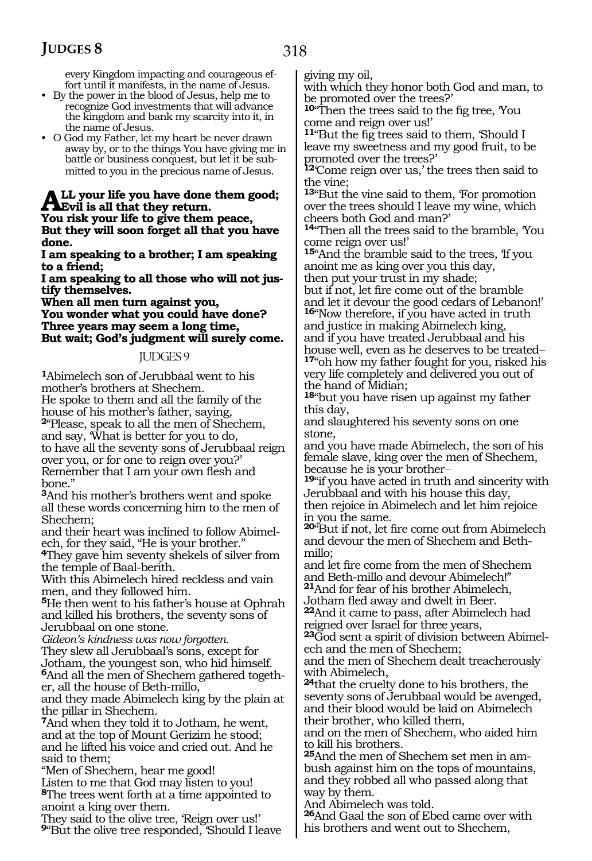318

every Kingdom impacting and courageous effort until it manifests, in the name of Jesus.

- By the power in the blood of Jesus, help me to recognize God investments that will advance the kingdom and bank my scarcity into it, in the name of Jesus.
- O God my Father, let my heart be never drawn away by, or to the things You have giving me in battle or business conquest, but let it be submitted to you in the precious name of Jesus.

## ALL your life you have done them good;<br>
Was girl and that they return.

**You risk your life to give them peace, But they will soon forget all that you have done.**

**I am speaking to a brother; I am speaking to a friend;**

**I am speaking to all those who will not justify themselves.**

**When all men turn against you,**

**You wonder what you could have done? Three years may seem a long time, But wait; God's judgment will surely come.**

#### JUDGES 9

**<sup>1</sup>**Abimelech son of Jerubbaal went to his mother's brothers at Shechem. He spoke to them and all the family of the

house of his mother's father, saying, **<sup>2</sup>**"Please, speak to all the men of Shechem, and say, 'What is better for you to do, to have all the seventy sons of Jerubbaal reign over you, or for one to reign over you?' Remember that I am your own flesh and bone."

**<sup>3</sup>**And his mother's brothers went and spoke all these words concerning him to the men of Shechem;

and their heart was inclined to follow Abimelech, for they said, "He is your brother."

**<sup>4</sup>**They gave him seventy shekels of silver from the temple of Baal-berith.

With this Abimelech hired reckless and vain men, and they followed him.

**<sup>5</sup>**He then went to his father's house at Ophrah and killed his brothers, the seventy sons of Jerubbaal on one stone.

*Gideon's kindness was now forgotten.*

They slew all Jerubbaal's sons, except for Jotham, the youngest son, who hid himself. **6**And all the men of Shechem gathered together, all the house of Beth-millo,

and they made Abimelech king by the plain at the pillar in Shechem.

**<sup>7</sup>**And when they told it to Jotham, he went, and at the top of Mount Gerizim he stood; and he lifted his voice and cried out. And he said to them;

"Men of Shechem, hear me good! Listen to me that God may listen to you! **<sup>8</sup>**The trees went forth at a time appointed to anoint a king over them.

They said to the olive tree, 'Reign over us!' **<sup>9</sup>**"But the olive tree responded, 'Should I leave giving my oil,

with which they honor both God and man, to be promoted over the trees?'

**<sup>10</sup>**"Then the trees said to the fig tree, 'You come and reign over us!'

**<sup>11</sup>**"But the fig trees said to them, 'Should I leave my sweetness and my good fruit, to be promoted over the trees?'

**<sup>12</sup>**'Come reign over us,' the trees then said to the vine;

**<sup>13</sup>**"But the vine said to them, 'For promotion over the trees should I leave my wine, which cheers both God and man?'

**<sup>14</sup>**"Then all the trees said to the bramble, 'You come reign over us!'

**<sup>15</sup>**"And the bramble said to the trees, 'If you anoint me as king over you this day, then put your trust in my shade; but if not, let fire come out of the bramble

and let it devour the good cedars of Lebanon!' **<sup>16</sup>**"Now therefore, if you have acted in truth

and justice in making Abimelech king, and if you have treated Jerubbaal and his house well, even as he deserves to be treated-**<sup>17</sup>**"oh how my father fought for you, risked his very life completely and delivered you out of the hand of Midian;

**<sup>18</sup>**"but you have risen up against my father this day,

and slaughtered his seventy sons on one stone,

and you have made Abimelech, the son of his female slave, king over the men of Shechem, because he is your brother\_\_

**<sup>19</sup>**"if you have acted in truth and sincerity with Jerubbaal and with his house this day, then rejoice in Abimelech and let him rejoice in you the same.

**<sup>20</sup>**"But if not, let fire come out from Abimelech and devour the men of Shechem and Bethmillo;

and let fire come from the men of Shechem and Beth-millo and devour Abimelech!"

**<sup>21</sup>**And for fear of his brother Abimelech, Jotham fled away and dwelt in Beer.

**<sup>22</sup>**And it came to pass, after Abimelech had reigned over Israel for three years,

**<sup>23</sup>**God sent a spirit of division between Abimel- ech and the men of Shechem;

and the men of Shechem dealt treacherously with Abimelech,

**<sup>24</sup>**that the cruelty done to his brothers, the seventy sons of Jerubbaal would be avenged, and their blood would be laid on Abimelech their brother, who killed them,

and on the men of Shechem, who aided him to kill his brothers.

**25**And the men of Shechem set men in ambush against him on the tops of mountains, and they robbed all who passed along that way by them.

And Abimelech was told.

**<sup>26</sup>**And Gaal the son of Ebed came over with his brothers and went out to Shechem,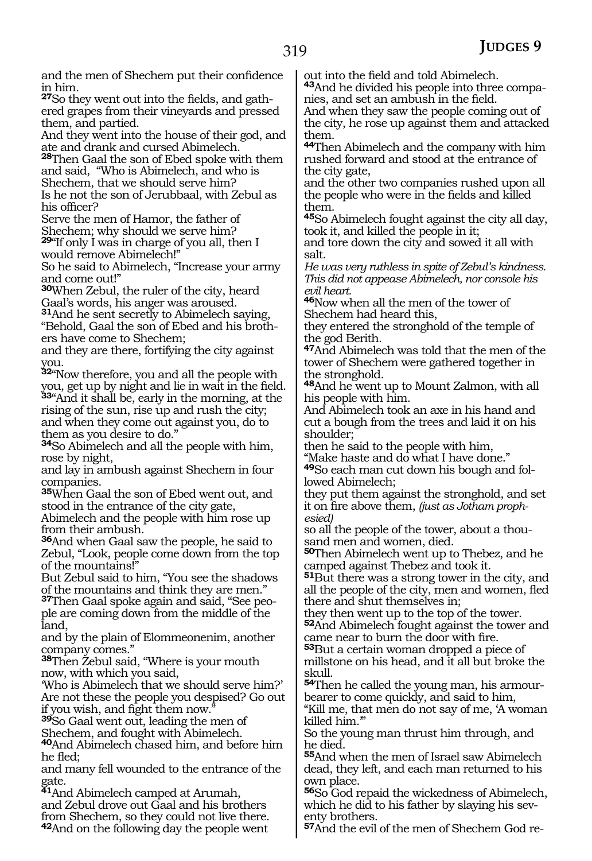and the men of Shechem put their confidence in him.

**27**So they went out into the fields, and gathered grapes from their vineyards and pressed them, and partied.

And they went into the house of their god, and ate and drank and cursed Abimelech.

**<sup>28</sup>**Then Gaal the son of Ebed spoke with them and said, "Who is Abimelech, and who is Shechem, that we should serve him?

Is he not the son of Jerubbaal, with Zebul as his officer?

Serve the men of Hamor, the father of Shechem; why should we serve him?

**<sup>29</sup>**"If only I was in charge of you all, then I would remove Abimelech!"

So he said to Abimelech, "Increase your army and come out!"

**<sup>30</sup>**When Zebul, the ruler of the city, heard Gaal's words, his anger was aroused.

**<sup>31</sup>**And he sent secretly to Abimelech saying, "Behold, Gaal the son of Ebed and his broth- ers have come to Shechem;

and they are there, fortifying the city against you.

**<sup>32</sup>**"Now therefore, you and all the people with you, get up by night and lie in wait in the field.

**<sup>33</sup>**"And it shall be, early in the morning, at the rising of the sun, rise up and rush the city; and when they come out against you, do to them as you desire to do."

**<sup>34</sup>**So Abimelech and all the people with him, rose by night,

and lay in ambush against Shechem in four companies.

**<sup>35</sup>**When Gaal the son of Ebed went out, and stood in the entrance of the city gate,

Abimelech and the people with him rose up from their ambush.

**<sup>36</sup>**And when Gaal saw the people, he said to Zebul, "Look, people come down from the top of the mountains!"

But Zebul said to him, "You see the shadows of the mountains and think they are men."

**37**Then Gaal spoke again and said, "See people are coming down from the middle of the land,

and by the plain of Elommeonenim, another company comes."

**<sup>38</sup>**Then Zebul said, "Where is your mouth now, with which you said,

'Who is Abimelech that we should serve him?' Are not these the people you despised? Go out if you wish, and fight them now.

**<sup>39</sup>**So Gaal went out, leading the men of Shechem, and fought with Abimelech.

**<sup>40</sup>**And Abimelech chased him, and before him he fled;

and many fell wounded to the entrance of the gate.

**<sup>41</sup>**And Abimelech camped at Arumah, and Zebul drove out Gaal and his brothers from Shechem, so they could not live there. **<sup>42</sup>**And on the following day the people went out into the field and told Abimelech.

**<sup>43</sup>**And he divided his people into three compa- nies, and set an ambush in the field.

And when they saw the people coming out of the city, he rose up against them and attacked them.

**<sup>44</sup>**Then Abimelech and the company with him rushed forward and stood at the entrance of the city gate,

and the other two companies rushed upon all the people who were in the fields and killed them.

**<sup>45</sup>**So Abimelech fought against the city all day, took it, and killed the people in it;

and tore down the city and sowed it all with salt.

*He was very ruthless in spite of Zebul's kindness. This did not appease Abimelech, nor console his evil heart.*

**<sup>46</sup>**Now when all the men of the tower of Shechem had heard this,

they entered the stronghold of the temple of the god Berith.

**<sup>47</sup>**And Abimelech was told that the men of the tower of Shechem were gathered together in the stronghold.

**<sup>48</sup>**And he went up to Mount Zalmon, with all his people with him.

And Abimelech took an axe in his hand and cut a bough from the trees and laid it on his shoulder;

then he said to the people with him, "Make haste and do what I have done."

**<sup>49</sup>**So each man cut down his bough and fol- lowed Abimelech;

they put them against the stronghold, and set it on fire above them, *(just as Jotham prophesied)*

so all the people of the tower, about a thou- sand men and women, died.

**<sup>50</sup>**Then Abimelech went up to Thebez, and he camped against Thebez and took it.

**<sup>51</sup>**But there was a strong tower in the city, and all the people of the city, men and women, fled there and shut themselves in;

they then went up to the top of the tower.

**<sup>52</sup>**And Abimelech fought against the tower and came near to burn the door with fire.

**<sup>53</sup>**But a certain woman dropped a piece of millstone on his head, and it all but broke the skull.

**54**Then he called the young man, his armourbearer to come quickly, and said to him,

"Kill me, that men do not say of me, 'A woman killed him.'"

So the young man thrust him through, and he died.

**<sup>55</sup>**And when the men of Israel saw Abimelech dead, they left, and each man returned to his own place.

**<sup>56</sup>**So God repaid the wickedness of Abimelech, which he did to his father by slaying his seventy brothers.

**57**And the evil of the men of Shechem God re-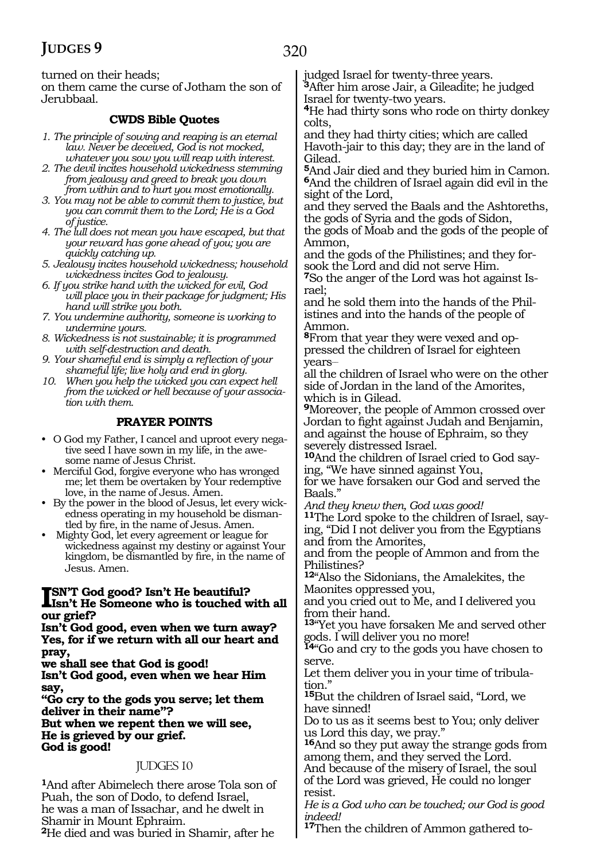turned on their heads;

on them came the curse of Jotham the son of Jerubbaal.

#### **CWDS Bible Quotes**

*1. The principle of sowing and reaping is an eternal law. Never be deceived, God is not mocked, whatever you sow you will reap with interest.*

*2. The devil incites household wickedness stemming from jealousy and greed to break you down from within and to hurt you most emotionally.*

*3. You may not be able to commit them to justice, but you can commit them to the Lord; He is a God of justice.*

*4. The lull does not mean you have escaped, but that your reward has gone ahead of you; you are quickly catching up.* 

*5. Jealousy incites household wickedness; household wickedness incites God to jealousy.* 

*6. If you strike hand with the wicked for evil, God will place you in their package for judgment; His hand will strike you both.*

*7. You undermine authority, someone is working to undermine yours.*

*8. Wickedness is not sustainable; it is programmed with self-destruction and death.*

*9. Your shameful end is simply a reflection of your shameful life; live holy and end in glory.*

*10. When you help the wicked you can expect hell from the wicked or hell because of your association with them.*

#### **PRAYER POINTS**

• O God my Father, I cancel and uproot every negative seed I have sown in my life, in the awesome name of Jesus Christ.

• Merciful God, forgive everyone who has wronged me; let them be overtaken by Your redemptive love, in the name of Jesus. Amen.

• By the power in the blood of Jesus, let every wickedness operating in my household be dismantled by fire, in the name of Jesus. Amen.

• Mighty God, let every agreement or league for wickedness against my destiny or against Your kingdom, be dismantled by fire, in the name of Jesus. Amen.

#### **ISN'T God good? Isn't He beautiful?**<br>**ISn't He Someone who is touched w Isn't He Someone who is touched with all our grief?**

**Isn't God good, even when we turn away? Yes, for if we return with all our heart and pray,**

**we shall see that God is good!**

**Isn't God good, even when we hear Him say,**

**"Go cry to the gods you serve; let them deliver in their name"? But when we repent then we will see, He is grieved by our grief. God is good!**

#### JUDGES 10

**<sup>1</sup>**And after Abimelech there arose Tola son of Puah, the son of Dodo, to defend Israel, he was a man of Issachar, and he dwelt in Shamir in Mount Ephraim. **<sup>2</sup>**He died and was buried in Shamir, after he

judged Israel for twenty-three years.

**<sup>3</sup>**After him arose Jair, a Gileadite; he judged Israel for twenty-two years.

**<sup>4</sup>**He had thirty sons who rode on thirty donkey colts,

and they had thirty cities; which are called Havoth-jair to this day; they are in the land of Gilead.

**<sup>5</sup>**And Jair died and they buried him in Camon. **<sup>6</sup>**And the children of Israel again did evil in the sight of the Lord,

and they served the Baals and the Ashtoreths, the gods of Syria and the gods of Sidon,

the gods of Moab and the gods of the people of Ammon,

and the gods of the Philistines; and they forsook the Lord and did not serve Him.

**7**So the anger of the Lord was hot against Israel;

and he sold them into the hands of the Philistines and into the hands of the people of Ammon.

**8**From that year they were vexed and oppressed the children of Israel for eighteen years\_\_

all the children of Israel who were on the other side of Jordan in the land of the Amorites, which is in Gilead.

**<sup>9</sup>**Moreover, the people of Ammon crossed over Jordan to fight against Judah and Benjamin, and against the house of Ephraim, so they severely distressed Israel.

**10**And the children of Israel cried to God saying, "We have sinned against You,

for we have forsaken our God and served the Baals."

*And they knew then, God was good!* **11**The Lord spoke to the children of Israel, saying, "Did I not deliver you from the Egyptians and from the Amorites,

and from the people of Ammon and from the Philistines?

**<sup>12</sup>**"Also the Sidonians, the Amalekites, the Maonites oppressed you,

and you cried out to Me, and I delivered you from their hand.

**<sup>13</sup>**"Yet you have forsaken Me and served other gods. I will deliver you no more!

**<sup>14</sup>**"Go and cry to the gods you have chosen to serve.

Let them deliver you in your time of tribulation."

**<sup>15</sup>**But the children of Israel said, "Lord, we have sinned!

Do to us as it seems best to You; only deliver us Lord this day, we pray."

**<sup>16</sup>**And so they put away the strange gods from among them, and they served the Lord.

And because of the misery of Israel, the soul of the Lord was grieved, He could no longer resist.

*He is a God who can be touched; our God is good indeed!*

**17**Then the children of Ammon gathered to-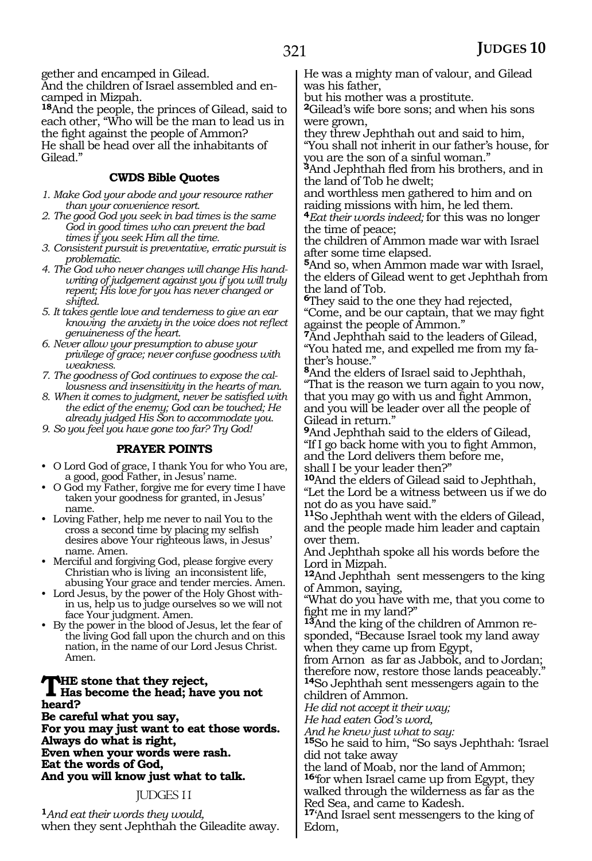gether and encamped in Gilead.

And the children of Israel assembled and encamped in Mizpah.

**<sup>18</sup>**And the people, the princes of Gilead, said to each other, "Who will be the man to lead us in the fight against the people of Ammon? He shall be head over all the inhabitants of Gilead."

#### **CWDS Bible Quotes**

- *1. Make God your abode and your resource rather than your convenience resort.*
- *2. The good God you seek in bad times is the same God in good times who can prevent the bad times if you seek Him all the time.*
- *3. Consistent pursuit is preventative, erratic pursuit is problematic.*
- *4. The God who never changes will change His handwriting of judgement against you if you will truly repent; His love for you has never changed or shifted.*
- *5. It takes gentle love and tenderness to give an ear knowing the anxiety in the voice does not reflect genuineness of the heart.*
- *6. Never allow your presumption to abuse your privilege of grace; never confuse goodness with weakness.*
- *7. The goodness of God continues to expose the callousness and insensitivity in the hearts of man.*
- *8. When it comes to judgment, never be satisfied with the edict of the enemy; God can be touched; He already judged His Son to accommodate you.*
- *9. So you feel you have gone too far? Try God!*

#### **PRAYER POINTS**

- O Lord God of grace, I thank You for who You are, a good, good Father, in Jesus' name.
- O God my Father, forgive me for every time I have taken your goodness for granted, in Jesus' name.
- Loving Father, help me never to nail You to the cross a second time by placing my selfish desires above Your righteous laws, in Jesus' name. Amen.
- Merciful and forgiving God, please forgive every Christian who is living an inconsistent life, abusing Your grace and tender mercies. Amen.
- Lord Jesus, by the power of the Holy Ghost within us, help us to judge ourselves so we will not face Your judgment. Amen.
- By the power in the blood of Jesus, let the fear of the living God fall upon the church and on this nation, in the name of our Lord Jesus Christ. Amen.

## **The stone that they reject, Has become the head; have you not heard?**

**Be careful what you say, For you may just want to eat those words. Always do what is right, Even when your words were rash. Eat the words of God, And you will know just what to talk.**

#### JUDGES 11

**<sup>1</sup>***And eat their words they would,* when they sent Jephthah the Gileadite away. He was a mighty man of valour, and Gilead was his father,

but his mother was a prostitute.

**<sup>2</sup>**Gilead's wife bore sons; and when his sons were grown,

they threw Jephthah out and said to him, "You shall not inherit in our father's house, for you are the son of a sinful woman."

**<sup>3</sup>**And Jephthah fled from his brothers, and in the land of Tob he dwelt;

and worthless men gathered to him and on raiding missions with him, he led them.

**<sup>4</sup>***Eat their words indeed;* for this was no longer the time of peace;

the children of Ammon made war with Israel after some time elapsed.

**<sup>5</sup>**And so, when Ammon made war with Israel, the elders of Gilead went to get Jephthah from the land of Tob.

**<sup>6</sup>**They said to the one they had rejected, "Come, and be our captain, that we may fight

against the people of Ammon."

**<sup>7</sup>**And Jephthah said to the leaders of Gilead, "You hated me, and expelled me from my father's house."

**<sup>8</sup>**And the elders of Israel said to Jephthah, "That is the reason we turn again to you now, that you may go with us and fight Ammon, and you will be leader over all the people of Gilead in return."

**<sup>9</sup>**And Jephthah said to the elders of Gilead, "If I go back home with you to fight Ammon, and the Lord delivers them before me, shall I be your leader then?"

**<sup>10</sup>**And the elders of Gilead said to Jephthah, "Let the Lord be a witness between us if we do not do as you have said."

**<sup>11</sup>**So Jephthah went with the elders of Gilead, and the people made him leader and captain over them.

And Jephthah spoke all his words before the Lord in Mizpah.

**<sup>12</sup>**And Jephthah sent messengers to the king of Ammon, saying,

"What do you have with me, that you come to fight me in my land?"

**13**And the king of the children of Ammon responded, "Because Israel took my land away when they came up from Egypt,

from Arnon as far as Jabbok, and to Jordan; therefore now, restore those lands peaceably." **<sup>14</sup>**So Jephthah sent messengers again to the

children of Ammon.

*He did not accept it their way;*

*He had eaten God's word,*

*And he knew just what to say:*

**<sup>15</sup>**So he said to him, "So says Jephthah: 'Israel did not take away

the land of Moab, nor the land of Ammon;

**<sup>16</sup>**'for when Israel came up from Egypt, they walked through the wilderness as far as the Red Sea, and came to Kadesh.

**<sup>17</sup>**'And Israel sent messengers to the king of Edom,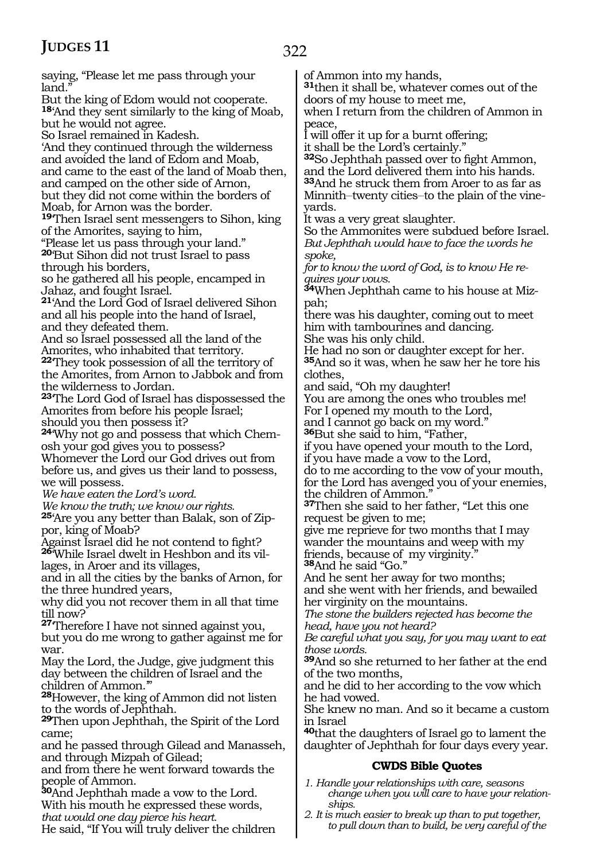and through Mizpah of Gilead;

people of Ammon.

and from there he went forward towards the

He said, "If You will truly deliver the children

**<sup>30</sup>**And Jephthah made a vow to the Lord. With his mouth he expressed these words, *that would one day pierce his heart.*

322 saying, "Please let me pass through your land. But the king of Edom would not cooperate. **<sup>18</sup>**'And they sent similarly to the king of Moab, but he would not agree. So Israel remained in Kadesh. 'And they continued through the wilderness and avoided the land of Edom and Moab, and came to the east of the land of Moab then, and camped on the other side of Arnon, but they did not come within the borders of Moab, for Arnon was the border. **<sup>19</sup>**'Then Israel sent messengers to Sihon, king of the Amorites, saying to him, "Please let us pass through your land." **<sup>20</sup>**'But Sihon did not trust Israel to pass through his borders, so he gathered all his people, encamped in Jahaz, and fought Israel. **<sup>21</sup>**'And the Lord God of Israel delivered Sihon and all his people into the hand of Israel, and they defeated them. And so Israel possessed all the land of the Amorites, who inhabited that territory. **<sup>22</sup>**'They took possession of all the territory of the Amorites, from Arnon to Jabbok and from the wilderness to Jordan. **<sup>23</sup>**'The Lord God of Israel has dispossessed the Amorites from before his people Israel; should you then possess it? **24**'Why not go and possess that which Chemosh your god gives you to possess? Whomever the Lord our God drives out from before us, and gives us their land to possess, we will possess. *We have eaten the Lord's word. We know the truth; we know our rights.* **25**'Are you any better than Balak, son of Zippor, king of Moab? Against Israel did he not contend to fight? **26**'While Israel dwelt in Heshbon and its villages, in Aroer and its villages, and in all the cities by the banks of Arnon, for the three hundred years, why did you not recover them in all that time till now? **<sup>27</sup>**'Therefore I have not sinned against you, but you do me wrong to gather against me for war. May the Lord, the Judge, give judgment this day between the children of Israel and the children of Ammon.'" **<sup>28</sup>**However, the king of Ammon did not listen to the words of Jephthah. **<sup>29</sup>**Then upon Jephthah, the Spirit of the Lord came; and he passed through Gilead and Manasseh, of Ammon into my hands, **<sup>31</sup>**then it shall be, whatever comes out of the doors of my house to meet me, when I return from the children of Ammon in peace, I will offer it up for a burnt offering; it shall be the Lord's certainly." **<sup>32</sup>**So Jephthah passed over to fight Ammon, and the Lord delivered them into his hands. **<sup>33</sup>**And he struck them from Aroer to as far as Minnith-twenty cities-to the plain of the vineyards. It was a very great slaughter. So the Ammonites were subdued before Israel. *But Jephthah would have to face the words he spoke, for to know the word of God, is to know He requires your vows.* **34**When Jephthah came to his house at Mizpah; there was his daughter, coming out to meet him with tambourines and dancing. She was his only child. He had no son or daughter except for her. **<sup>35</sup>**And so it was, when he saw her he tore his clothes, and said, "Oh my daughter! You are among the ones who troubles me! For I opened my mouth to the Lord, and I cannot go back on my word." **<sup>36</sup>**But she said to him, "Father, if you have opened your mouth to the Lord, if you have made a vow to the Lord, do to me according to the vow of your mouth, for the Lord has avenged you of your enemies, the children of Ammon." **<sup>37</sup>**Then she said to her father, "Let this one request be given to me; give me reprieve for two months that I may wander the mountains and weep with my friends, because of my virginity. **<sup>38</sup>**And he said "Go." And he sent her away for two months; and she went with her friends, and bewailed her virginity on the mountains. *The stone the builders rejected has become the head, have you not heard? Be careful what you say, for you may want to eat those words.* **<sup>39</sup>**And so she returned to her father at the end of the two months, and he did to her according to the vow which he had vowed. She knew no man. And so it became a custom in Israel **<sup>40</sup>**that the daughters of Israel go to lament the daughter of Jephthah for four days every year.

#### **CWDS Bible Quotes**

*1. Handle your relationships with care, seasons change when you will care to have your relationships.*

*2. It is much easier to break up than to put together, to pull down than to build, be very careful of the*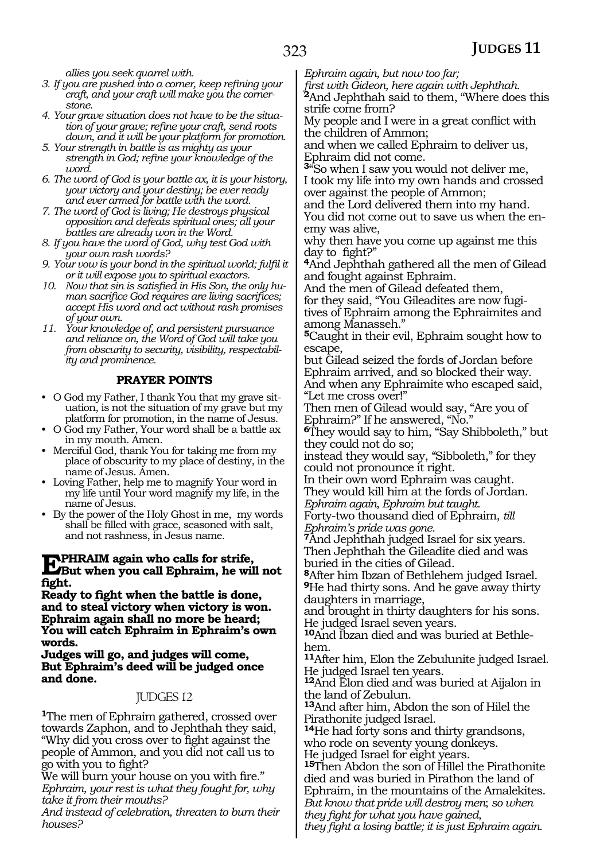*allies you seek quarrel with.*

- *3. If you are pushed into a corner, keep refining your craft, and your craft will make you the cornerstone.*
- *4. Your grave situation does not have to be the situation of your grave; refine your craft, send roots down, and it will be your platform for promotion.*
- *5. Your strength in battle is as mighty as your strength in God; refine your knowledge of the word.*
- *6. The word of God is your battle ax, it is your history, your victory and your destiny; be ever ready and ever armed for battle with the word.*
- *7. The word of God is living; He destroys physical opposition and defeats spiritual ones; all your battles are already won in the Word.*
- *8. If you have the word of God, why test God with your own rash words?*
- *9. Your vow is your bond in the spiritual world; fulfil it or it will expose you to spiritual exactors.*
- *10. Now that sin is satisfied in His Son, the only human sacrifice God requires are living sacrifices; accept His word and act without rash promises of your own.*
- *11. Your knowledge of, and persistent pursuance and reliance on, the Word of God will take you from obscurity to security, visibility, respectability and prominence.*

#### **PRAYER POINTS**

- O God my Father, I thank You that my grave situation, is not the situation of my grave but my platform for promotion, in the name of Jesus.
- O God my Father, Your word shall be a battle ax in my mouth. Amen.
- Merciful God, thank You for taking me from my place of obscurity to my place of destiny, in the name of Jesus. Amen.
- Loving Father, help me to magnify Your word in my life until Your word magnify my life, in the name of Jesus.
- By the power of the Holy Ghost in me, my words shall be filled with grace, seasoned with salt, and not rashness, in Jesus name.

### **EPHRAIM** again who calls for strife,<br> **EPHRAIM** again who call Ephraim, he will not **fight.**

**Ready to fight when the battle is done, and to steal victory when victory is won. Ephraim again shall no more be heard; You will catch Ephraim in Ephraim's own words.** 

**Judges will go, and judges will come, But Ephraim's deed will be judged once and done.** 

#### JUDGES 12

**<sup>1</sup>**The men of Ephraim gathered, crossed over towards Zaphon, and to Jephthah they said, "Why did you cross over to fight against the people of Ammon, and you did not call us to go with you to fight?

We will burn your house on you with fire." *Ephraim, your rest is what they fought for, why take it from their mouths?* 

*And instead of celebration, threaten to burn their houses?* 

*Ephraim again, but now too far;*

*first with Gideon, here again with Jephthah.* **<sup>2</sup>**And Jephthah said to them, "Where does this strife come from?

My people and I were in a great conflict with the children of Ammon;

and when we called Ephraim to deliver us, Ephraim did not come.

**<sup>3</sup>**"So when I saw you would not deliver me, I took my life into my own hands and crossed over against the people of Ammon;

and the Lord delivered them into my hand. You did not come out to save us when the enemy was alive,

why then have you come up against me this day to fight?"

**4**And Jephthah gathered all the men of Gilead and fought against Ephraim.

And the men of Gilead defeated them, for they said, "You Gileadites are now fugitives of Ephraim among the Ephraimites and among Manasseh."

**<sup>5</sup>**Caught in their evil, Ephraim sought how to escape,

but Gilead seized the fords of Jordan before Ephraim arrived, and so blocked their way. And when any Ephraimite who escaped said, "Let me cross over!"

Then men of Gilead would say, "Are you of Ephraim?" If he answered, "No."

**<sup>6</sup>**They would say to him, "Say Shibboleth," but they could not do so;

instead they would say, "Sibboleth," for they could not pronounce it right.

In their own word Ephraim was caught. They would kill him at the fords of Jordan.

*Ephraim again, Ephraim but taught.* 

Forty-two thousand died of Ephraim, *till Ephraim's pride was gone.* 

**<sup>7</sup>**And Jephthah judged Israel for six years. Then Jephthah the Gileadite died and was buried in the cities of Gilead.

**<sup>8</sup>**After him Ibzan of Bethlehem judged Israel. **<sup>9</sup>**He had thirty sons. And he gave away thirty daughters in marriage,

and brought in thirty daughters for his sons. He judged Israel seven years.

**10**And Ibzan died and was buried at Bethlehem.

**<sup>11</sup>**After him, Elon the Zebulunite judged Israel. He judged Israel ten years.

**<sup>12</sup>**And Elon died and was buried at Aijalon in the land of Zebulun.

**<sup>13</sup>**And after him, Abdon the son of Hilel the Pirathonite judged Israel.

**<sup>14</sup>**He had forty sons and thirty grandsons, who rode on seventy young donkeys.

He judged Israel for eight years. **<sup>15</sup>**Then Abdon the son of Hillel the Pirathonite died and was buried in Pirathon the land of Ephraim, in the mountains of the Amalekites. *But know that pride will destroy men*; *so when they fight for what you have gained*,

*they fight a losing battle; it is just Ephraim again*.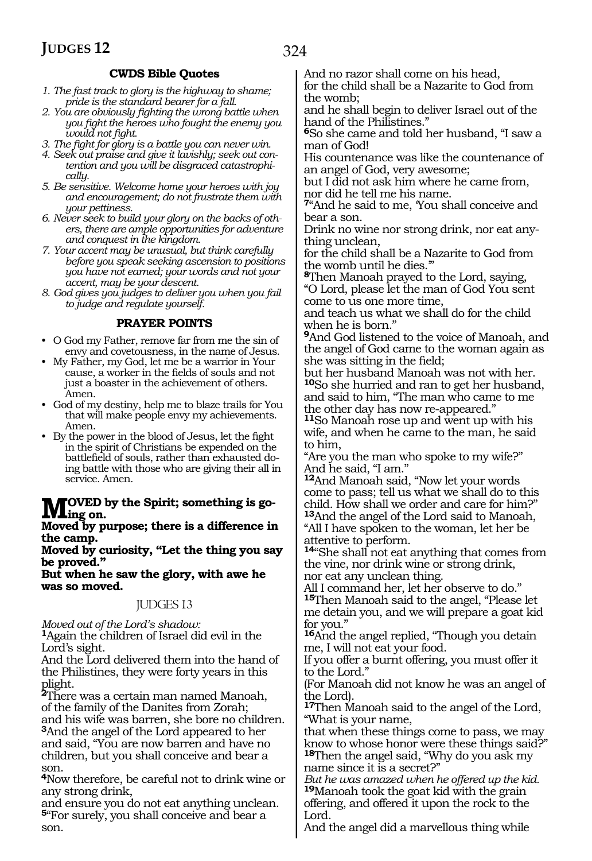#### **CWDS Bible Quotes**

- *1. The fast track to glory is the highway to shame; pride is the standard bearer for a fall.*
- *2. You are obviously fighting the wrong battle when you fight the heroes who fought the enemy you would not fight.*
- *3. The fight for glory is a battle you can never win.*
- *4. Seek out praise and give it lavishly; seek out contention and you will be disgraced catastrophically.*
- *5. Be sensitive. Welcome home your heroes with joy and encouragement; do not frustrate them with your pettiness.*
- *6. Never seek to build your glory on the backs of others, there are ample opportunities for adventure and conquest in the kingdom.*
- *7. Your accent may be unusual, but think carefully before you speak seeking ascension to positions you have not earned; your words and not your accent, may be your descent.*
- *8. God gives you judges to deliver you when you fail to judge and regulate yourself.*

#### **PRAYER POINTS**

- O God my Father, remove far from me the sin of envy and covetousness, in the name of Jesus.
- My Father, my God, let me be a warrior in Your cause, a worker in the fields of souls and not just a boaster in the achievement of others. Amen.
- God of my destiny, help me to blaze trails for You that will make people envy my achievements. Amen.
- By the power in the blood of Jesus, let the fight in the spirit of Christians be expended on the battlefield of souls, rather than exhausted doing battle with those who are giving their all in service. Amen.

#### **TOVED** by the Spirit; something is go**ing on.**

**Moved by purpose; there is a difference in the camp.**

**Moved by curiosity, "Let the thing you say be proved."**

**But when he saw the glory, with awe he was so moved.** 

#### JUDGES 13

*Moved out of the Lord's shadow:*

**<sup>1</sup>**Again the children of Israel did evil in the Lord's sight.

And the Lord delivered them into the hand of the Philistines, they were forty years in this plight.

**<sup>2</sup>**There was a certain man named Manoah, of the family of the Danites from Zorah; and his wife was barren, she bore no children. **<sup>3</sup>**And the angel of the Lord appeared to her and said, "You are now barren and have no children, but you shall conceive and bear a son.

**<sup>4</sup>**Now therefore, be careful not to drink wine or any strong drink,

and ensure you do not eat anything unclean. **<sup>5</sup>**"For surely, you shall conceive and bear a son.

And no razor shall come on his head,

for the child shall be a Nazarite to God from the womb;

and he shall begin to deliver Israel out of the hand of the Philistines."

**<sup>6</sup>**So she came and told her husband, "I saw a man of God!

His countenance was like the countenance of an angel of God, very awesome;

but I did not ask him where he came from, nor did he tell me his name.

**<sup>7</sup>**"And he said to me, 'You shall conceive and bear a son.

Drink no wine nor strong drink, nor eat anything unclean,

for the child shall be a Nazarite to God from the womb until he dies.'"

**<sup>8</sup>**Then Manoah prayed to the Lord, saying, "O Lord, please let the man of God You sent

come to us one more time, and teach us what we shall do for the child when he is born."

**<sup>9</sup>**And God listened to the voice of Manoah, and the angel of God came to the woman again as she was sitting in the field;

but her husband Manoah was not with her. **<sup>10</sup>**So she hurried and ran to get her husband, and said to him, "The man who came to me the other day has now re-appeared."

**<sup>11</sup>**So Manoah rose up and went up with his wife, and when he came to the man, he said to him,

"Are you the man who spoke to my wife?" And he said, "I am."

**<sup>12</sup>**And Manoah said, "Now let your words come to pass; tell us what we shall do to this child. How shall we order and care for him?" **<sup>13</sup>**And the angel of the Lord said to Manoah,

"All I have spoken to the woman, let her be attentive to perform.

**<sup>14</sup>**"She shall not eat anything that comes from the vine, nor drink wine or strong drink, nor eat any unclean thing.

All I command her, let her observe to do." **<sup>15</sup>**Then Manoah said to the angel, "Please let me detain you, and we will prepare a goat kid for you."

**<sup>16</sup>**And the angel replied, "Though you detain me, I will not eat your food.

If you offer a burnt offering, you must offer it to the Lord."

(For Manoah did not know he was an angel of the Lord).

**<sup>17</sup>**Then Manoah said to the angel of the Lord, "What is your name,

that when these things come to pass, we may know to whose honor were these things said?" **<sup>18</sup>**Then the angel said, "Why do you ask my name since it is a secret?"

*But he was amazed when he offered up the kid.* **<sup>19</sup>**Manoah took the goat kid with the grain offering, and offered it upon the rock to the Lord.

And the angel did a marvellous thing while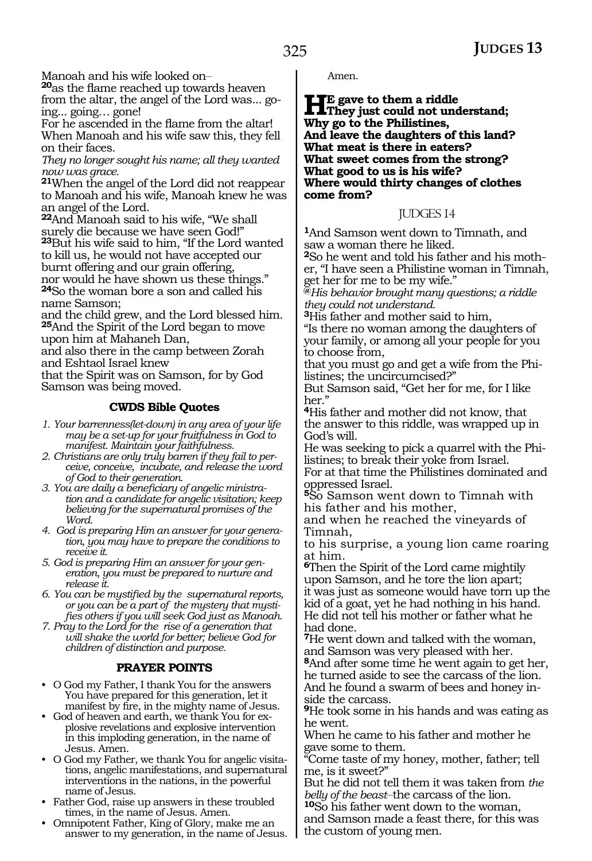Manoah and his wife looked on-

**<sup>20</sup>**as the flame reached up towards heaven from the altar, the angel of the Lord was... going... going… gone!

For he ascended in the flame from the altar! When Manoah and his wife saw this, they fell on their faces.

*They no longer sought his name; all they wanted now was grace.*

**<sup>21</sup>**When the angel of the Lord did not reappear to Manoah and his wife, Manoah knew he was an angel of the Lord.

**<sup>22</sup>**And Manoah said to his wife, "We shall surely die because we have seen God!" **<sup>23</sup>**But his wife said to him, "If the Lord wanted

to kill us, he would not have accepted our

burnt offering and our grain offering, nor would he have shown us these things." **<sup>24</sup>**So the woman bore a son and called his name Samson;

and the child grew, and the Lord blessed him. **<sup>25</sup>**And the Spirit of the Lord began to move upon him at Mahaneh Dan,

and also there in the camp between Zorah and Eshtaol Israel knew

that the Spirit was on Samson, for by God Samson was being moved.

#### **CWDS Bible Quotes**

*1. Your barrenness(let-down) in any area of your life may be a set-up for your fruitfulness in God to manifest. Maintain your faithfulness.*

*2. Christians are only truly barren if they fail to perceive, conceive, incubate, and release the word of God to their generation.*

*3. You are daily a beneficiary of angelic ministration and a candidate for angelic visitation; keep believing for the supernatural promises of the Word.*

*4. God is preparing Him an answer for your generation, you may have to prepare the conditions to receive it.*

*5. God is preparing Him an answer for your generation, you must be prepared to nurture and release it.*

*6. You can be mystified by the supernatural reports, or you can be a part of the mystery that mystifies others if you will seek God just as Manoah.*

*7. Pray to the Lord for the rise of a generation that will shake the world for better; believe God for children of distinction and purpose.*

#### **PRAYER POINTS**

• O God my Father, I thank You for the answers You have prepared for this generation, let it manifest by fire, in the mighty name of Jesus.

• God of heaven and earth, we thank You for explosive revelations and explosive intervention in this imploding generation, in the name of Jesus. Amen.

• O God my Father, we thank You for angelic visitations, angelic manifestations, and supernatural interventions in the nations, in the powerful name of Jesus.

• Father God, raise up answers in these troubled times, in the name of Jesus. Amen.

• Omnipotent Father, King of Glory, make me an answer to my generation, in the name of Jesus. Amen.

**He** gave to them a riddle<br>They just could not understand;<br>Why so to the Philiptines **Why go to the Philistines, And leave the daughters of this land? What meat is there in eaters? What sweet comes from the strong? What good to us is his wife? Where would thirty changes of clothes come from?**

#### JUDGES 14

**<sup>1</sup>**And Samson went down to Timnath, and saw a woman there he liked.

**2**So he went and told his father and his mother, "I have seen a Philistine woman in Timnah, get her for me to be my wife."

**@***His behavior brought many questions; a riddle they could not understand.*

**<sup>3</sup>**His father and mother said to him,

"Is there no woman among the daughters of your family, or among all your people for you to choose from,

that you must go and get a wife from the Philistines; the uncircumcised?"

But Samson said, "Get her for me, for I like her."

**<sup>4</sup>**His father and mother did not know, that the answer to this riddle, was wrapped up in God's will.

He was seeking to pick a quarrel with the Philistines; to break their yoke from Israel.

For at that time the Philistines dominated and oppressed Israel.

**<sup>5</sup>**So Samson went down to Timnah with his father and his mother,

and when he reached the vineyards of Timnah,

to his surprise, a young lion came roaring at him.

**<sup>6</sup>**Then the Spirit of the Lord came mightily upon Samson, and he tore the lion apart; it was just as someone would have torn up the kid of a goat, yet he had nothing in his hand. He did not tell his mother or father what he had done.

**<sup>7</sup>**He went down and talked with the woman, and Samson was very pleased with her. **<sup>8</sup>**And after some time he went again to get her, he turned aside to see the carcass of the lion. And he found a swarm of bees and honey inside the carcass.

**<sup>9</sup>**He took some in his hands and was eating as he went.

When he came to his father and mother he gave some to them.

"Come taste of my honey, mother, father; tell me, is it sweet?"

But he did not tell them it was taken from *the belly of the beast*\_\_the carcass of the lion.

**<sup>10</sup>**So his father went down to the woman, and Samson made a feast there, for this was the custom of young men.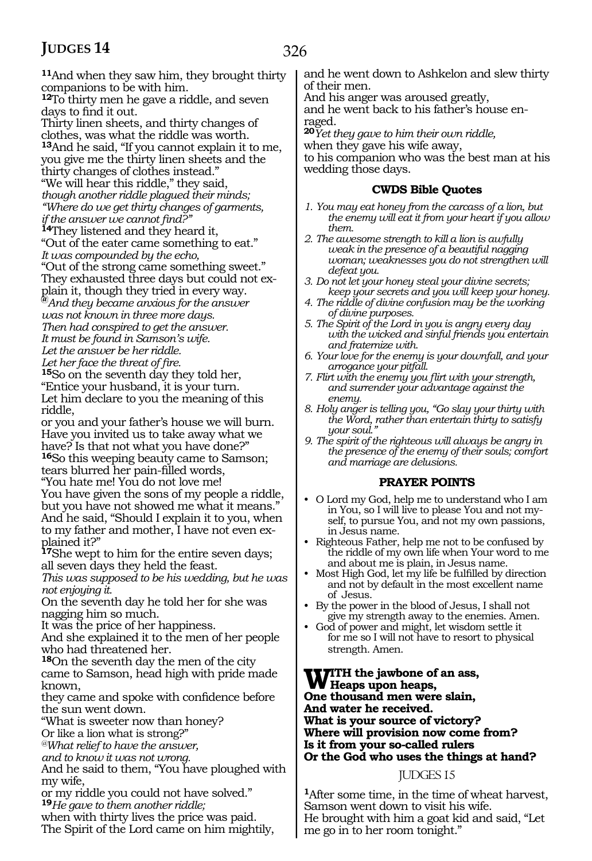**<sup>11</sup>**And when they saw him, they brought thirty companions to be with him. **<sup>12</sup>**To thirty men he gave a riddle, and seven days to find it out.

Thirty linen sheets, and thirty changes of clothes, was what the riddle was worth. **<sup>13</sup>**And he said, "If you cannot explain it to me, you give me the thirty linen sheets and the thirty changes of clothes instead." "We will hear this riddle," they said,

*though another riddle plagued their minds; "Where do we get thirty changes of garments,* 

**14**They listened and they heard it,

"Out of the eater came something to eat."

*It was compounded by the echo,* 

"Out of the strong came something sweet."

They exhausted three days but could not ex-

plain it, though they tried in every way. **@***And they became anxious for the answer* 

*was not known in three more days.* 

*Then had conspired to get the answer. It must be found in Samson's wife. Let the answer be her riddle.* 

*Let her face the threat of fire.* **15**So on the seventh day they told her, "Entice your husband, it is your turn. Let him declare to you the meaning of this riddle,

or you and your father's house we will burn. Have you invited us to take away what we have? Is that not what you have done?"

**<sup>16</sup>**So this weeping beauty came to Samson; tears blurred her pain-filled words,

"You hate me! You do not love me!

You have given the sons of my people a riddle, but you have not showed me what it means." And he said, "Should I explain it to you, when to my father and mother, I have not even explained it?"

**<sup>17</sup>**She wept to him for the entire seven days; all seven days they held the feast.

*This was supposed to be his wedding, but he was not enjoying it.* 

On the seventh day he told her for she was nagging him so much.

It was the price of her happiness.

And she explained it to the men of her people who had threatened her.

**<sup>18</sup>**On the seventh day the men of the city came to Samson, head high with pride made known,

they came and spoke with confidence before the sun went down.

"What is sweeter now than honey?

Or like a lion what is strong?"

*@What relief to have the answer,* 

*and to know it was not wrong.* 

And he said to them, "You have ploughed with my wife,

or my riddle you could not have solved." **<sup>19</sup>***He gave to them another riddle;* 

when with thirty lives the price was paid.

The Spirit of the Lord came on him mightily,

and he went down to Ashkelon and slew thirty of their men.

And his anger was aroused greatly,

and he went back to his father's house enraged.

**<sup>20</sup>***Yet they gave to him their own riddle,* 

when they gave his wife away,

to his companion who was the best man at his wedding those days.

#### **CWDS Bible Quotes**

- *1. You may eat honey from the carcass of a lion, but the enemy will eat it from your heart if you allow them.*
- *2. The awesome strength to kill a lion is awfully weak in the presence of a beautiful nagging woman; weaknesses you do not strengthen will defeat you.*
- *3. Do not let your honey steal your divine secrets; keep your secrets and you will keep your honey.*
- *4. The riddle of divine confusion may be the working of divine purposes.*
- *5. The Spirit of the Lord in you is angry every day with the wicked and sinful friends you entertain and fraternize with.*
- *6. Your love for the enemy is your downfall, and your arrogance your pitfall.*
- *7. Flirt with the enemy you flirt with your strength, and surrender your advantage against the enemy.*
- *8. Holy anger is telling you, "Go slay your thirty with the Word, rather than entertain thirty to satisfy your soul."*
- *9. The spirit of the righteous will always be angry in the presence of the enemy of their souls; comfort and marriage are delusions.*

#### **PRAYER POINTS**

- O Lord my God, help me to understand who I am in You, so I will live to please You and not myself, to pursue You, and not my own passions, in Jesus name.
- Righteous Father, help me not to be confused by the riddle of my own life when Your word to me and about me is plain, in Jesus name.
- Most High God, let my life be fulfilled by direction and not by default in the most excellent name of Jesus.
- By the power in the blood of Jesus, I shall not give my strength away to the enemies. Amen.
- God of power and might, let wisdom settle it for me so I will not have to resort to physical strength. Amen.

#### **WITH** the jawbone of an ass,<br> **W** Heaps upon heaps,<br> **Cut the vector One thousand men were slain, And water he received. What is your source of victory? Where will provision now come from? Is it from your so-called rulers Or the God who uses the things at hand?**

#### JUDGES 15

**<sup>1</sup>**After some time, in the time of wheat harvest, Samson went down to visit his wife. He brought with him a goat kid and said, "Let me go in to her room tonight."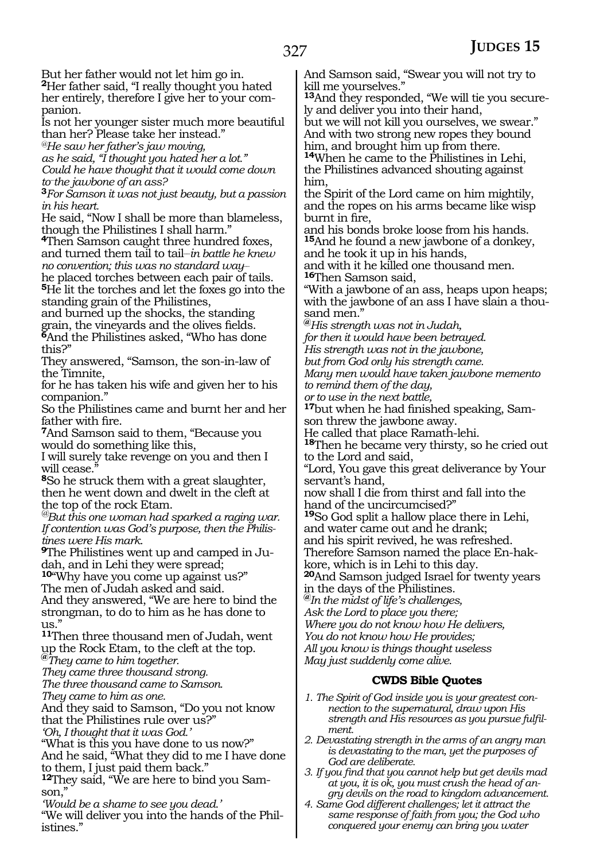But her father would not let him go in. **<sup>2</sup>**Her father said, "I really thought you hated her entirely, therefore I give her to your companion.

Is not her younger sister much more beautiful than her? Please take her instead."

*@He saw her father's jaw moving,*

*as he said, "I thought you hated her a lot." Could he have thought that it would come down* 

*to--the jawbone of an ass?* **<sup>3</sup>***For Samson it was not just beauty, but a passion in his heart.*

He said, "Now I shall be more than blameless, though the Philistines I shall harm."

**<sup>4</sup>**Then Samson caught three hundred foxes, and turned them tail to tail\_\_*in battle he knew no convention; this was no standard way\_\_* he placed torches between each pair of tails. **<sup>5</sup>**He lit the torches and let the foxes go into the standing grain of the Philistines,

and burned up the shocks, the standing grain, the vineyards and the olives fields. **<sup>6</sup>**And the Philistines asked, "Who has done this?"

They answered, "Samson, the son-in-law of the Timnite,

for he has taken his wife and given her to his companion."

So the Philistines came and burnt her and her father with fire.

**<sup>7</sup>**And Samson said to them, "Because you would do something like this,

I will surely take revenge on you and then I will cease."

**<sup>8</sup>**So he struck them with a great slaughter, then he went down and dwelt in the cleft at the top of the rock Etam.

*@But this one woman had sparked a raging war. If contention was God's purpose, then the Philistines were His mark.*

**9**The Philistines went up and camped in Judah, and in Lehi they were spread;

**<sup>10</sup>**"Why have you come up against us?" The men of Judah asked and said. And they answered, "We are here to bind the

strongman, to do to him as he has done to us."

**<sup>11</sup>**Then three thousand men of Judah, went up the Rock Etam, to the cleft at the top.

**@***They came to him together. They came three thousand strong.*

*The three thousand came to Samson.*

*They came to him as one.*

And they said to Samson, "Do you not know that the Philistines rule over us?"

*'Oh, I thought that it was God.'*

"What is this you have done to us now?" And he said, "What they did to me I have done to them, I just paid them back."

**12**They said, "We are here to bind you Samson,'

*'Would be a shame to see you dead.'*

"We will deliver you into the hands of the Philistines."

And Samson said, "Swear you will not try to kill me yourselves."

**13**And they responded, "We will tie you securely and deliver you into their hand,

but we will not kill you ourselves, we swear." And with two strong new ropes they bound him, and brought him up from there.

**<sup>14</sup>**When he came to the Philistines in Lehi, the Philistines advanced shouting against him,

the Spirit of the Lord came on him mightily, and the ropes on his arms became like wisp burnt in fire,

and his bonds broke loose from his hands. **<sup>15</sup>**And he found a new jawbone of a donkey, and he took it up in his hands,

and with it he killed one thousand men. **<sup>16</sup>**Then Samson said,

"With a jawbone of an ass, heaps upon heaps; with the jawbone of an ass I have slain a thousand men."

**@***His strength was not in Judah,*

*for then it would have been betrayed. His strength was not in the jawbone,*

*but from God only his strength came.*

*Many men would have taken jawbone memento to remind them of the day,*

*or to use in the next battle,*

**17**but when he had finished speaking, Samson threw the jawbone away.

He called that place Ramath-lehi.

**<sup>18</sup>**Then he became very thirsty, so he cried out to the Lord and said,

"Lord, You gave this great deliverance by Your servant's hand,

now shall I die from thirst and fall into the hand of the uncircumcised?"

**<sup>19</sup>**So God split a hallow place there in Lehi,

and water came out and he drank;

and his spirit revived, he was refreshed. Therefore Samson named the place En-hak-

kore, which is in Lehi to this day.

**<sup>20</sup>**And Samson judged Israel for twenty years in the days of the Philistines.

**@***In the midst of life's challenges,*

*Ask the Lord to place you there;*

*Where you do not know how He delivers,*

*You do not know how He provides;*

*All you know is things thought useless*

*May just suddenly come alive.*

#### **CWDS Bible Quotes**

- *1. The Spirit of God inside you is your greatest connection to the supernatural, draw upon His strength and His resources as you pursue fulfilment.*
- *2. Devastating strength in the arms of an angry man is devastating to the man, yet the purposes of God are deliberate.*
- *3. If you find that you cannot help but get devils mad at you, it is ok, you must crush the head of angry devils on the road to kingdom advancement.*
- *4. Same God different challenges; let it attract the same response of faith from you; the God who conquered your enemy can bring you water*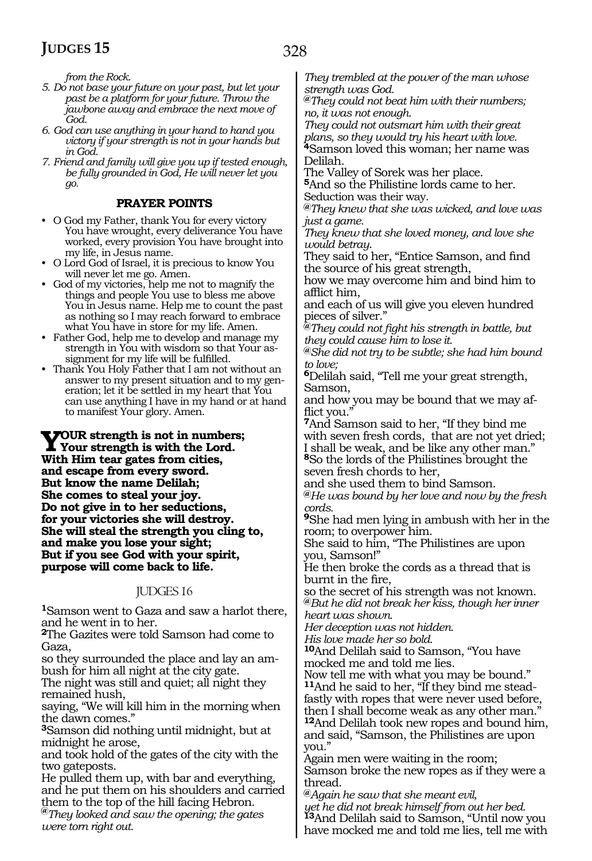*from the Rock.*

- *5. Do not base your future on your past, but let your past be a platform for your future. Throw the jawbone away and embrace the next move of God.*
- *6. God can use anything in your hand to hand you victory if your strength is not in your hands but in God.*
- *7. Friend and family will give you up if tested enough, be fully grounded in God, He will never let you go.*

#### **PRAYER POINTS**

- O God my Father, thank You for every victory You have wrought, every deliverance You have worked, every provision You have brought into my life, in Jesus name.
- O Lord God of Israel, it is precious to know You will never let me go. Amen.
- God of my victories, help me not to magnify the things and people You use to bless me above You in Jesus name. Help me to count the past as nothing so I may reach forward to embrace what You have in store for my life. Amen.
- Father God, help me to develop and manage my strength in You with wisdom so that Your assignment for my life will be fulfilled.
- Thank You Holy Father that I am not without an answer to my present situation and to my generation; let it be settled in my heart that You can use anything I have in my hand or at hand to manifest Your glory. Amen.

**Your strength is not in numbers; Your strength is with the Lord. With Him tear gates from cities, and escape from every sword. But know the name Delilah; She comes to steal your joy. Do not give in to her seductions, for your victories she will destroy. She will steal the strength you cling to, and make you lose your sight; But if you see God with your spirit, purpose will come back to life.**

#### JUDGES 16

**<sup>1</sup>**Samson went to Gaza and saw a harlot there, and he went in to her.

**<sup>2</sup>**The Gazites were told Samson had come to Gaza,

so they surrounded the place and lay an ambush for him all night at the city gate.

The night was still and quiet; all night they remained hush,

saying, "We will kill him in the morning when the dawn comes."

**<sup>3</sup>**Samson did nothing until midnight, but at midnight he arose,

and took hold of the gates of the city with the two gateposts.

He pulled them up, with bar and everything, and he put them on his shoulders and carried them to the top of the hill facing Hebron.

**@***They looked and saw the opening; the gates were torn right out.*

*They trembled at the power of the man whose strength was God.*

**@***They could not beat him with their numbers; no, it was not enough.*

*They could not outsmart him with their great plans, so they would try his heart with love.* **<sup>4</sup>**Samson loved this woman; her name was Delilah.

The Valley of Sorek was her place.

**<sup>5</sup>**And so the Philistine lords came to her. Seduction was their way.

**@***They knew that she was wicked, and love was just a game.*

*They knew that she loved money, and love she would betray*.

They said to her, "Entice Samson, and find the source of his great strength,

how we may overcome him and bind him to afflict him,

and each of us will give you eleven hundred pieces of silver."

**@***They could not fight his strength in battle, but they could cause him to lose it.*

**@***She did not try to be subtle; she had him bound to love;*

**<sup>6</sup>**Delilah said, "Tell me your great strength, Samson,

and how you may be bound that we may afflict you.'

**<sup>7</sup>**And Samson said to her, "If they bind me with seven fresh cords, that are not yet dried; I shall be weak, and be like any other man." **<sup>8</sup>**So the lords of the Philistines brought the seven fresh chords to her,

and she used them to bind Samson.

**@***He was bound by her love and now by the fresh cords.*

**<sup>9</sup>**She had men lying in ambush with her in the room; to overpower him.

She said to him, "The Philistines are upon you, Samson!"

He then broke the cords as a thread that is burnt in the fire,

so the secret of his strength was not known. **@***But he did not break her kiss, though her inner heart was shown.*

*Her deception was not hidden.* 

*His love made her so bold.*

**<sup>10</sup>**And Delilah said to Samson, "You have mocked me and told me lies.

Now tell me with what you may be bound."<br><sup>11</sup>And he said to her, "If they bind me steadfastly with ropes that were never used before, then I shall become weak as any other man. **<sup>12</sup>**And Delilah took new ropes and bound him,

and said, "Samson, the Philistines are upon you."

Again men were waiting in the room; Samson broke the new ropes as if they were a thread.

**@***Again he saw that she meant evil,*

*yet he did not break himself from out her bed.* **<sup>13</sup>**And Delilah said to Samson, "Until now you have mocked me and told me lies, tell me with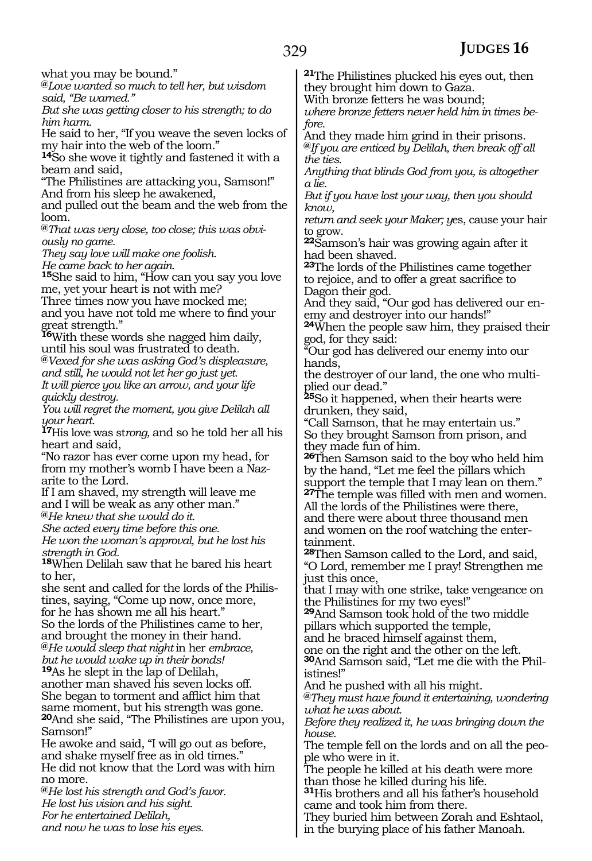what you may be bound."

**@***Love wanted so much to tell her, but wisdom said, "Be warned."*

*But she was getting closer to his strength; to do him harm.*

He said to her, "If you weave the seven locks of my hair into the web of the loom."

**<sup>14</sup>**So she wove it tightly and fastened it with a beam and said,

"The Philistines are attacking you, Samson!" And from his sleep he awakened,

and pulled out the beam and the web from the loom.

**@***That was very close, too close; this was obviously no game.*

*They say love will make one foolish.*

*He came back to her again.*

15She said to him, "How can you say you love me, yet your heart is not with me?

Three times now you have mocked me; and you have not told me where to find your

great strength."

**<sup>16</sup>**With these words she nagged him daily, until his soul was frustrated to death. **@***Vexed for she was asking God's displeasure, and still, he would not let her go just yet. It will pierce you like an arrow, and your life quickly destroy.*

*You will regret the moment, you give Delilah all* 

*your heart.* **<sup>17</sup>**His love was st*rong,* and so he told her all his heart and said,

"No razor has ever come upon my head, for from my mother's womb I have been a Nazarite to the Lord.

If I am shaved, my strength will leave me and I will be weak as any other man." **@***He knew that she would do it.*

*She acted every time before this one.*

*He won the woman's approval, but he lost his strength in God.*

**<sup>18</sup>**When Delilah saw that he bared his heart to her,

she sent and called for the lords of the Philistines, saying, "Come up now, once more, for he has shown me all his heart." So the lords of the Philistines came to her, and brought the money in their hand. **@***He would sleep that night* in her *embrace,*

*but he would wake up in their bonds!*

**<sup>19</sup>**As he slept in the lap of Delilah, another man shaved his seven locks off. She began to torment and afflict him that same moment, but his strength was gone. **<sup>20</sup>**And she said, "The Philistines are upon you, Samson!"

He awoke and said, "I will go out as before, and shake myself free as in old times." He did not know that the Lord was with him no more.

**@***He lost his strength and God's favor. He lost his vision and his sight. For he entertained Delilah, and now he was to lose his eyes.*

**<sup>21</sup>**The Philistines plucked his eyes out, then they brought him down to Gaza.

With bronze fetters he was bound;

*where bronze fetters never held him in times before.*

And they made him grind in their prisons. **@***If you are enticed by Delilah, then break off all the ties.*

*Anything that blinds God from you, is altogether a lie.*

*But if you have lost your way, then you should know,*

*return and seek your Maker; y*es, cause your hair to grow.

**<sup>22</sup>**Samson's hair was growing again after it had been shaved.

**<sup>23</sup>**The lords of the Philistines came together to rejoice, and to offer a great sacrifice to Dagon their god.

And they said, "Our god has delivered our enemy and destroyer into our hands!"

**<sup>24</sup>**When the people saw him, they praised their god, for they said:

"Our god has delivered our enemy into our hands,

the destroyer of our land, the one who multiplied our dead."

**<sup>25</sup>**So it happened, when their hearts were drunken, they said,

"Call Samson, that he may entertain us." So they brought Samson from prison, and they made fun of him.

**<sup>26</sup>**Then Samson said to the boy who held him by the hand, "Let me feel the pillars which support the temple that I may lean on them." **<sup>27</sup>**The temple was filled with men and women. All the lords of the Philistines were there, and there were about three thousand men and women on the roof watching the enter- tainment.

**<sup>28</sup>**Then Samson called to the Lord, and said, "O Lord, remember me I pray! Strengthen me just this once,

that I may with one strike, take vengeance on the Philistines for my two eyes!"

**<sup>29</sup>**And Samson took hold of the two middle pillars which supported the temple,

and he braced himself against them,

one on the right and the other on the left.

**<sup>30</sup>**And Samson said, "Let me die with the Phil- istines!"

And he pushed with all his might.

**@***They must have found it entertaining, wondering what he was about.*

*Before they realized it*, *he was bringing down the house.*

The temple fell on the lords and on all the people who were in it.

The people he killed at his death were more than those he killed during his life.

**<sup>31</sup>**His brothers and all his father's household came and took him from there.

They buried him between Zorah and Eshtaol, in the burying place of his father Manoah.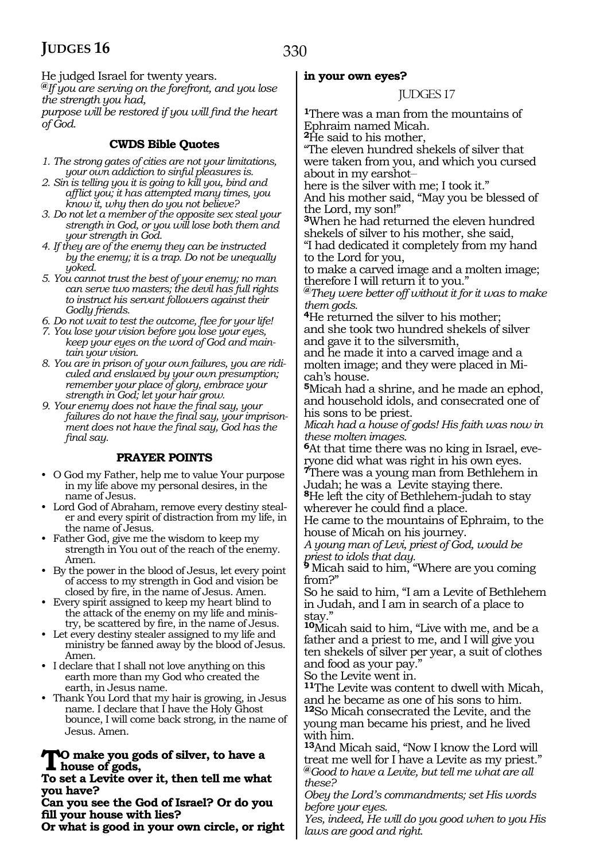He judged Israel for twenty years.

**@***If you are serving on the forefront, and you lose the strength you had,*

*purpose will be restored if you will find the heart of God.*

### **CWDS Bible Quotes**

- *1. The strong gates of cities are not your limitations, your own addiction to sinful pleasures is.*
- *2. Sin is telling you it is going to kill you, bind and afflict you; it has attempted many times, you know it, why then do you not believe?*
- *3. Do not let a member of the opposite sex steal your strength in God, or you will lose both them and your strength in God.*
- *4. If they are of the enemy they can be instructed by the enemy; it is a trap. Do not be unequally yoked.*
- *5. You cannot trust the best of your enemy; no man can serve two masters; the devil has full rights to instruct his servant followers against their Godly friends.*
- *6. Do not wait to test the outcome, flee for your life!*
- *7. You lose your vision before you lose your eyes, keep your eyes on the word of God and maintain your vision.*
- *8. You are in prison of your own failures, you are ridiculed and enslaved by your own presumption; remember your place of glory, embrace your strength in God; let your hair grow.*
- *9. Your enemy does not have the final say, your failures do not have the final say, your imprisonment does not have the final say, God has the final say.*

#### **PRAYER POINTS**

- O God my Father, help me to value Your purpose in my life above my personal desires, in the name of Jesus.
- Lord God of Abraham, remove every destiny stealer and every spirit of distraction from my life, in the name of Jesus.
- Father God, give me the wisdom to keep my strength in You out of the reach of the enemy. Amen.
- By the power in the blood of Jesus, let every point of access to my strength in God and vision be closed by fire, in the name of Jesus. Amen.
- Every spirit assigned to keep my heart blind to the attack of the enemy on my life and ministry, be scattered by fire, in the name of Jesus.
- Let every destiny stealer assigned to my life and ministry be fanned away by the blood of Jesus. Amen.
- I declare that I shall not love anything on this earth more than my God who created the earth, in Jesus name.
- Thank You Lord that my hair is growing, in Jesus name. I declare that I have the Holy Ghost bounce, I will come back strong, in the name of Jesus. Amen.

#### **To make you gods of silver, to have a house of gods,**

**To set a Levite over it, then tell me what you have?**

**Can you see the God of Israel? Or do you fill your house with lies?**

**Or what is good in your own circle, or right** 

#### **in your own eyes?**

#### JUDGES 17

**<sup>1</sup>**There was a man from the mountains of Ephraim named Micah.

**<sup>2</sup>**He said to his mother,

"The eleven hundred shekels of silver that were taken from you, and which you cursed about in my earshot\_\_

here is the silver with me; I took it."

And his mother said, "May you be blessed of the Lord, my son!"

**<sup>3</sup>**When he had returned the eleven hundred shekels of silver to his mother, she said,

"I had dedicated it completely from my hand to the Lord for you,

to make a carved image and a molten image; therefore I will return it to you."

**@***They were better off without it for it was to make them gods.*

**<sup>4</sup>**He returned the silver to his mother; and she took two hundred shekels of silver and gave it to the silversmith,

and he made it into a carved image and a molten image; and they were placed in Micah's house.

**<sup>5</sup>**Micah had a shrine, and he made an ephod, and household idols, and consecrated one of his sons to be priest.

*Micah had a house of gods! His faith was now in these molten images.*

**6**At that time there was no king in Israel, everyone did what was right in his own eyes.

**<sup>7</sup>**There was a young man from Bethlehem in Judah; he was a Levite staying there.

**<sup>8</sup>**He left the city of Bethlehem-judah to stay wherever he could find a place.

He came to the mountains of Ephraim, to the house of Micah on his journey.

*A young man of Levi, priest of God, would be priest to idols that day.*

**<sup>9</sup>**Micah said to him, "Where are you coming from?"

So he said to him, "I am a Levite of Bethlehem in Judah, and I am in search of a place to stay."

**<sup>10</sup>**Micah said to him, "Live with me, and be a father and a priest to me, and I will give you ten shekels of silver per year, a suit of clothes and food as your pay."

So the Levite went in.

**<sup>11</sup>**The Levite was content to dwell with Micah, and he became as one of his sons to him.

**<sup>12</sup>**So Micah consecrated the Levite, and the young man became his priest, and he lived with him.

**<sup>13</sup>**And Micah said, "Now I know the Lord will treat me well for I have a Levite as my priest." **@***Good to have a Levite, but tell me what are all these?*

*Obey the Lord's commandments; set His words before your eyes.*

*Yes, indeed, He will do you good when to you His laws are good and right.*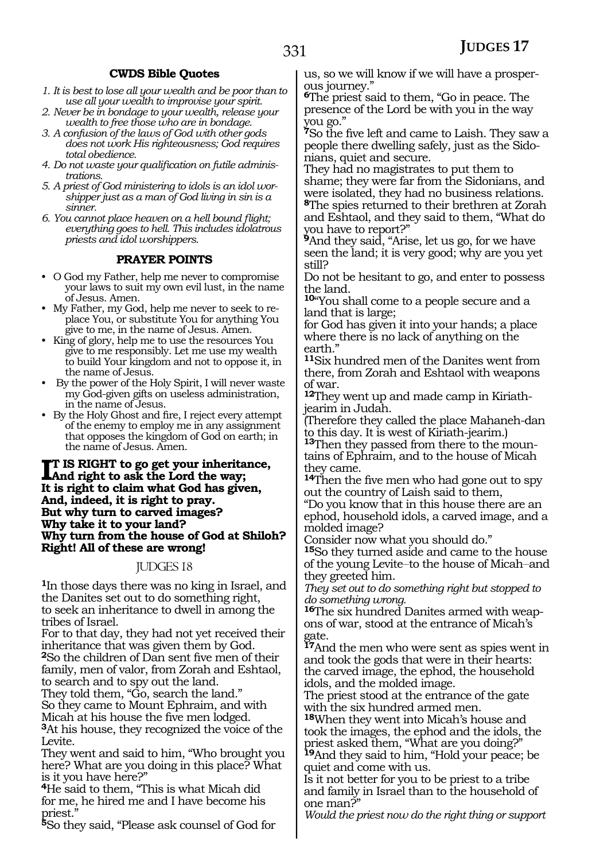#### **CWDS Bible Quotes**

- *1. It is best to lose all your wealth and be poor than to use all your wealth to improvise your spirit.*
- *2. Never be in bondage to your wealth, release your wealth to free those who are in bondage.*
- *3. A confusion of the laws of God with other gods does not work His righteousness; God requires total obedience.*
- *4. Do not waste your qualification on futile administrations.*
- *5. A priest of God ministering to idols is an idol worshipper just as a man of God living in sin is a sinner.*
- *6. You cannot place heaven on a hell bound flight; everything goes to hell. This includes idolatrous priests and idol worshippers.*

#### **PRAYER POINTS**

- O God my Father, help me never to compromise your laws to suit my own evil lust, in the name of Jesus. Amen.
- My Father, my God, help me never to seek to replace You, or substitute You for anything You give to me, in the name of Jesus. Amen.
- King of glory, help me to use the resources You give to me responsibly. Let me use my wealth to build Your kingdom and not to oppose it, in the name of Jesus.
- By the power of the Holy Spirit, I will never waste my God-given gifts on useless administration, in the name of Jesus.
- By the Holy Ghost and fire, I reject every attempt of the enemy to employ me in any assignment that opposes the kingdom of God on earth; in the name of Jesus. Amen.

#### **I** IS RIGHT to go get your inheritance,<br>And right to ask the Lord the way;<br>It is gight to alsim what God has given **And right to ask the Lord the way; It is right to claim what God has given, And, indeed, it is right to pray. But why turn to carved images? Why take it to your land? Why turn from the house of God at Shiloh? Right! All of these are wrong!**

#### JUDGES 18

**<sup>1</sup>**In those days there was no king in Israel, and the Danites set out to do something right, to seek an inheritance to dwell in among the tribes of Israel.

For to that day, they had not yet received their inheritance that was given them by God. **<sup>2</sup>**So the children of Dan sent five men of their family, men of valor, from Zorah and Eshtaol, to search and to spy out the land.

They told them, "Go, search the land." So they came to Mount Ephraim, and with Micah at his house the five men lodged.

**<sup>3</sup>**At his house, they recognized the voice of the Levite.

They went and said to him, "Who brought you here? What are you doing in this place? What is it you have here?"

**<sup>4</sup>**He said to them, "This is what Micah did for me, he hired me and I have become his priest."

**<sup>5</sup>**So they said, "Please ask counsel of God for

us, so we will know if we will have a prosperous journey."

**<sup>6</sup>**The priest said to them, "Go in peace. The presence of the Lord be with you in the way you go."

**<sup>7</sup>**So the five left and came to Laish. They saw a people there dwelling safely, just as the Sidonians, quiet and secure.

They had no magistrates to put them to shame; they were far from the Sidonians, and were isolated, they had no business relations.

**<sup>8</sup>**The spies returned to their brethren at Zorah and Eshtaol, and they said to them, "What do you have to report?"

**<sup>9</sup>**And they said, "Arise, let us go, for we have seen the land; it is very good; why are you yet still?

Do not be hesitant to go, and enter to possess the land.

**<sup>10</sup>**"You shall come to a people secure and a land that is large;

for God has given it into your hands; a place where there is no lack of anything on the earth."

**<sup>11</sup>**Six hundred men of the Danites went from there, from Zorah and Eshtaol with weapons of war.

**12**They went up and made camp in Kiriathjearim in Judah.

(Therefore they called the place Mahaneh-dan to this day. It is west of Kiriath-jearim.)

**13**Then they passed from there to the mountains of Ephraim, and to the house of Micah they came.

**<sup>14</sup>**Then the five men who had gone out to spy out the country of Laish said to them,

"Do you know that in this house there are an ephod, household idols, a carved image, and a molded image?

Consider now what you should do."

**<sup>15</sup>**So they turned aside and came to the house of the young Levite\_\_to the house of Micah\_\_and they greeted him.

*They set out to do something right but stopped to do something wrong.*

**16**The six hundred Danites armed with weapons of war, stood at the entrance of Micah's gate.

**<sup>17</sup>**And the men who were sent as spies went in and took the gods that were in their hearts: the carved image, the ephod, the household idols, and the molded image.

The priest stood at the entrance of the gate with the six hundred armed men.

**<sup>18</sup>**When they went into Micah's house and took the images, the ephod and the idols, the priest asked them, "What are you doing?" **<sup>19</sup>**And they said to him, "Hold your peace; be

quiet and come with us. Is it not better for you to be priest to a tribe and family in Israel than to the household of one man?"

*Would the priest now do the right thing or support*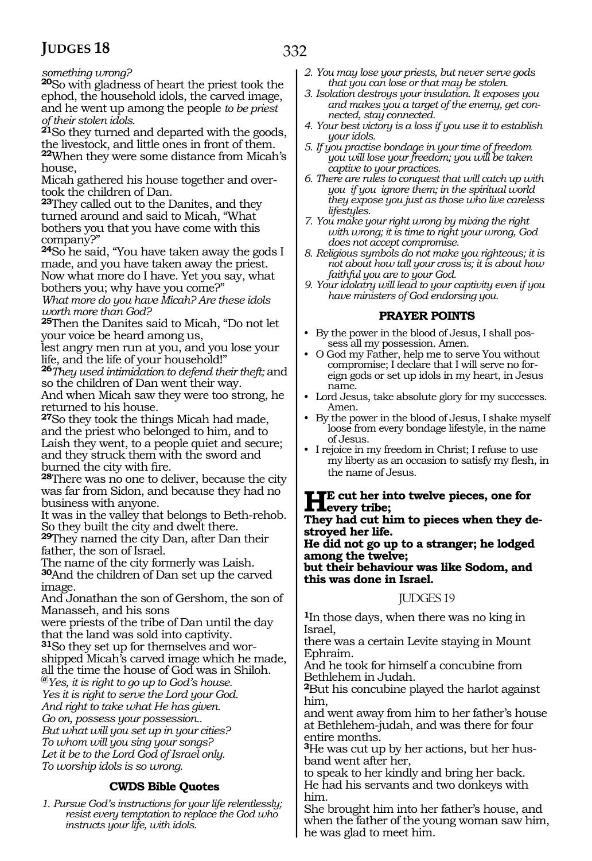*something wrong?*

**<sup>20</sup>**So with gladness of heart the priest took the ephod, the household idols, the carved image, and he went up among the people *to be priest of their stolen idols.*

**<sup>21</sup>**So they turned and departed with the goods, the livestock, and little ones in front of them. **<sup>22</sup>**When they were some distance from Micah's house,

Micah gathered his house together and over- took the children of Dan.

**<sup>23</sup>**They called out to the Danites, and they turned around and said to Micah, "What bothers you that you have come with this company?"

**<sup>24</sup>**So he said, "You have taken away the gods I made, and you have taken away the priest. Now what more do I have. Yet you say, what bothers you; why have you come?"

*What more do you have Micah? Are these idols worth more than God?*

**<sup>25</sup>**Then the Danites said to Micah, "Do not let your voice be heard among us,

lest angry men run at you, and you lose your life, and the life of your household!"

**<sup>26</sup>***They used intimidation to defend their theft;* and so the children of Dan went their way. And when Micah saw they were too strong, he returned to his house.

**<sup>27</sup>**So they took the things Micah had made, and the priest who belonged to him, and to Laish they went, to a people quiet and secure; and they struck them with the sword and burned the city with fire.

**<sup>28</sup>**There was no one to deliver, because the city was far from Sidon, and because they had no business with anyone.

It was in the valley that belongs to Beth-rehob. So they built the city and dwelt there.

**<sup>29</sup>**They named the city Dan, after Dan their father, the son of Israel.

The name of the city formerly was Laish. **<sup>30</sup>**And the children of Dan set up the carved image.

And Jonathan the son of Gershom, the son of Manasseh, and his sons

were priests of the tribe of Dan until the day that the land was sold into captivity.

**31**So they set up for themselves and worshipped Micah's carved image which he made, all the time the house of God was in Shiloh.

**@***Yes, it is right to go up to God's house.*

*Yes it is right to serve the Lord your God. And right to take what He has given.*

*Go on, possess your possession..*

*But what will you set up in your cities? To whom will you sing your songs? Let it be to the Lord God of Israel only. To worship idols is so wrong.*

#### **CWDS Bible Quotes**

*1. Pursue God's instructions for your life relentlessly; resist every temptation to replace the God who instructs your life, with idols.*

- *2. You may lose your priests, but never serve gods that you can lose or that may be stolen.*
- *3. Isolation destroys your insulation. It exposes you and makes you a target of the enemy, get connected, stay connected.*
- *4. Your best victory is a loss if you use it to establish your idols.*
- *5. If you practise bondage in your time of freedom you will lose your freedom; you will be taken captive to your practices.*
- *6. There are rules to conquest that will catch up with you if you ignore them; in the spiritual world they expose you just as those who live careless lifestyles.*
- *7. You make your right wrong by mixing the right with wrong; it is time to right your wrong, God does not accept compromise.*
- *8. Religious symbols do not make you righteous; it is not about how tall your cross is; it is about how faithful you are to your God.*
- *9. Your idolatry will lead to your captivity even if you have ministers of God endorsing you.*

#### **PRAYER POINTS**

- By the power in the blood of Jesus, I shall possess all my possession. Amen.
- O God my Father, help me to serve You without compromise; I declare that I will serve no foreign gods or set up idols in my heart, in Jesus name.
- Lord Jesus, take absolute glory for my successes. Amen.
- By the power in the blood of Jesus, I shake myself loose from every bondage lifestyle, in the name of Jesus.
- I rejoice in my freedom in Christ; I refuse to use my liberty as an occasion to satisfy my flesh, in the name of Jesus.

## **HE** cut her into twelve pieces, one for<br>
There he d aut him to gioces when there de

**They had cut him to pieces when they de- stroyed her life.**

**He did not go up to a stranger; he lodged among the twelve;**

**but their behaviour was like Sodom, and this was done in Israel.**

#### JUDGES 19

**<sup>1</sup>**In those days, when there was no king in Israel,

there was a certain Levite staying in Mount Ephraim.

And he took for himself a concubine from Bethlehem in Judah.

**<sup>2</sup>**But his concubine played the harlot against him,

and went away from him to her father's house at Bethlehem-judah, and was there for four entire months.

**<sup>3</sup>**He was cut up by her actions, but her hus- band went after her,

to speak to her kindly and bring her back. He had his servants and two donkeys with him.

She brought him into her father's house, and when the father of the young woman saw him, he was glad to meet him.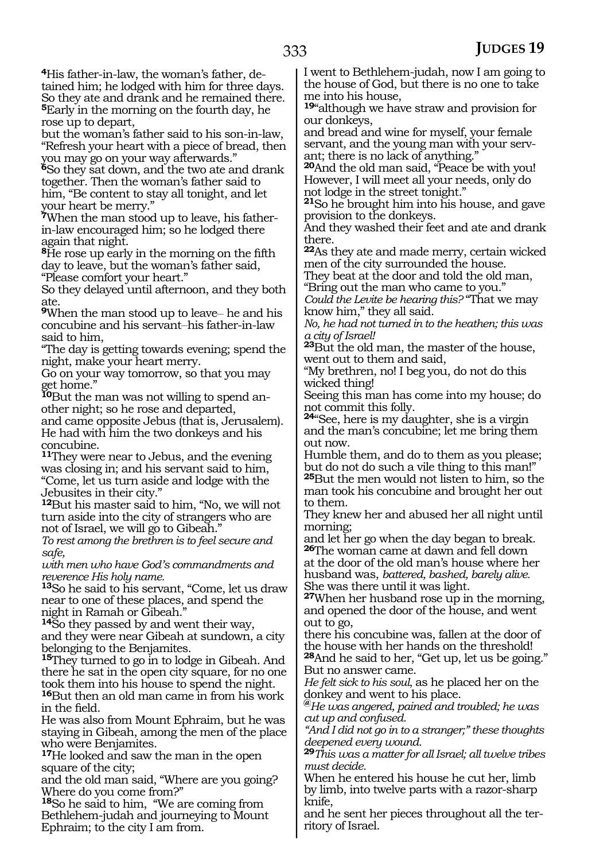**4**His father-in-law, the woman's father, detained him; he lodged with him for three days. So they ate and drank and he remained there. **<sup>5</sup>**Early in the morning on the fourth day, he rose up to depart,

but the woman's father said to his son-in-law, "Refresh your heart with a piece of bread, then you may go on your way afterwards."

**<sup>6</sup>**So they sat down, and the two ate and drank together. Then the woman's father said to him, "Be content to stay all tonight, and let your heart be merry."

**7**When the man stood up to leave, his fatherin-law encouraged him; so he lodged there again that night.

**<sup>8</sup>**He rose up early in the morning on the fifth day to leave, but the woman's father said, "Please comfort your heart."

So they delayed until afternoon, and they both ate.

**9**When the man stood up to leave– he and his concubine and his servant\_\_his father-in-law said to him,

"The day is getting towards evening; spend the night, make your heart merry.

Go on your way tomorrow, so that you may get home."

**<sup>10</sup>**But the man was not willing to spend an- other night; so he rose and departed,

and came opposite Jebus (that is, Jerusalem). He had with him the two donkeys and his concubine.

**<sup>11</sup>**They were near to Jebus, and the evening was closing in; and his servant said to him, "Come, let us turn aside and lodge with the Jebusites in their city."

**<sup>12</sup>**But his master said to him, "No, we will not turn aside into the city of strangers who are not of Israel, we will go to Gibeah."

*To rest among the brethren is to feel secure and safe,*

*with men who have God's commandments and reverence His holy name.*

**<sup>13</sup>**So he said to his servant, "Come, let us draw near to one of these places, and spend the night in Ramah or Gibeah."

**<sup>14</sup>**So they passed by and went their way,

and they were near Gibeah at sundown, a city belonging to the Benjamites.

**<sup>15</sup>**They turned to go in to lodge in Gibeah. And there he sat in the open city square, for no one took them into his house to spend the night.

**<sup>16</sup>**But then an old man came in from his work in the field.

He was also from Mount Ephraim, but he was staying in Gibeah, among the men of the place who were Benjamites.

**<sup>17</sup>**He looked and saw the man in the open square of the city;

and the old man said, "Where are you going? Where do you come from?"

**<sup>18</sup>**So he said to him, "We are coming from Bethlehem-judah and journeying to Mount Ephraim; to the city I am from.

I went to Bethlehem-judah, now I am going to the house of God, but there is no one to take me into his house,

**<sup>19</sup>**"although we have straw and provision for our donkeys,

and bread and wine for myself, your female servant, and the young man with your servant; there is no lack of anything."

**<sup>20</sup>**And the old man said, "Peace be with you! However, I will meet all your needs, only do not lodge in the street tonight."

**<sup>21</sup>**So he brought him into his house, and gave provision to the donkeys.

And they washed their feet and ate and drank there.

**<sup>22</sup>**As they ate and made merry, certain wicked men of the city surrounded the house.

They beat at the door and told the old man, "Bring out the man who came to you."

*Could the Levite be hearing this?* "That we may know him," they all said.

*No, he had not turned in to the heathen; this was a city of Israel!*

**<sup>23</sup>**But the old man, the master of the house, went out to them and said,

"My brethren, no! I beg you, do not do this wicked thing!

Seeing this man has come into my house; do not commit this folly.

**<sup>24</sup>**"See, here is my daughter, she is a virgin and the man's concubine; let me bring them out now.

Humble them, and do to them as you please; but do not do such a vile thing to this man!" **<sup>25</sup>**But the men would not listen to him, so the man took his concubine and brought her out to them.

They knew her and abused her all night until morning;

and let her go when the day began to break. **<sup>26</sup>**The woman came at dawn and fell down at the door of the old man's house where her husband was, *battered, bashed, barely alive.* She was there until it was light.

**<sup>27</sup>**When her husband rose up in the morning, and opened the door of the house, and went out to go,

there his concubine was, fallen at the door of the house with her hands on the threshold!

**<sup>28</sup>**And he said to her, "Get up, let us be going." But no answer came.

*He felt sick to his soul*, as he placed her on the donkey and went to his place.

**@***He was angered, pained and troubled; he was cut up and confused.*

*"And I did not go in to a stranger;" these thoughts deepened every wound.*

**<sup>29</sup>***This was a matter for all Israel; all twelve tribes must decide.*

When he entered his house he cut her, limb by limb, into twelve parts with a razor-sharp knife,

and he sent her pieces throughout all the ter- ritory of Israel.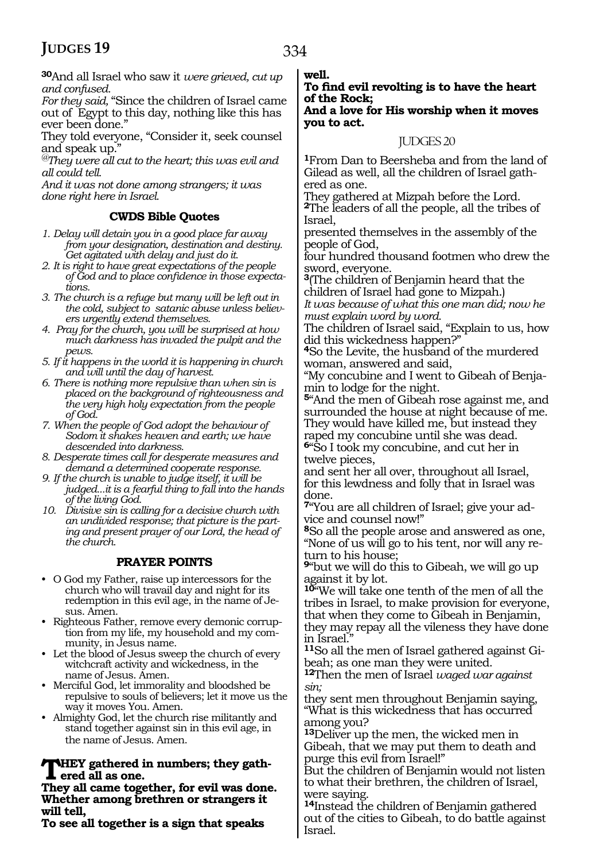**<sup>30</sup>**And all Israel who saw it *were grieved, cut up and confused.*

*For they said,* "Since the children of Israel came out of Egypt to this day, nothing like this has ever been done."

They told everyone, "Consider it, seek counsel and speak up."

*@They were all cut to the heart; this was evil and all could tell.*

*And it was not done among strangers; it was done right here in Israel.*

#### **CWDS Bible Quotes**

- *1. Delay will detain you in a good place far away from your designation, destination and destiny. Get agitated with delay and just do it.*
- *2. It is right to have great expectations of the people of God and to place confidence in those expectations.*
- *3. The church is a refuge but many will be left out in the cold, subject to satanic abuse unless believers urgently extend themselves.*
- *4. Pray for the church, you will be surprised at how much darkness has invaded the pulpit and the pews.*
- *5. If it happens in the world it is happening in church and will until the day of harvest.*
- *6. There is nothing more repulsive than when sin is placed on the background of righteousness and the very high holy expectation from the people of God.*
- *7. When the people of God adopt the behaviour of Sodom it shakes heaven and earth; we have descended into darkness.*
- *8. Desperate times call for desperate measures and demand a determined cooperate response.*
- *9. If the church is unable to judge itself, it will be judged...it is a fearful thing to fall into the hands of the living God.*
- *10. Divisive sin is calling for a decisive church with an undivided response; that picture is the parting and present prayer of our Lord, the head of the church.*

#### **PRAYER POINTS**

- O God my Father, raise up intercessors for the church who will travail day and night for its redemption in this evil age, in the name of Jesus. Amen.
- Righteous Father, remove every demonic corruption from my life, my household and my community, in Jesus name.
- Let the blood of Jesus sweep the church of every witchcraft activity and wickedness, in the name of Jesus. Amen.
- Merciful God, let immorality and bloodshed be repulsive to souls of believers; let it move us the way it moves You. Amen.
- Almighty God, let the church rise militantly and stand together against sin in this evil age, in the name of Jesus. Amen.

# **THEY** gathered in numbers; they gathered all as one.

**They all came together, for evil was done. Whether among brethren or strangers it will tell,**

**To see all together is a sign that speaks** 

**well.**

#### **To find evil revolting is to have the heart of the Rock;**

#### **And a love for His worship when it moves you to act.**

#### JUDGES 20

**<sup>1</sup>**From Dan to Beersheba and from the land of Gilead as well, all the children of Israel gathered as one.

They gathered at Mizpah before the Lord. **<sup>2</sup>**The leaders of all the people, all the tribes of Israel,

presented themselves in the assembly of the people of God,

four hundred thousand footmen who drew the sword, everyone.

**<sup>3</sup>**(The children of Benjamin heard that the children of Israel had gone to Mizpah.)

*It was because of what this one man did; now he must explain word by word.*

The children of Israel said, "Explain to us, how did this wickedness happen?"

**<sup>4</sup>**So the Levite, the husband of the murdered woman, answered and said,

"My concubine and I went to Gibeah of Benjamin to lodge for the night.

**<sup>5</sup>**"And the men of Gibeah rose against me, and surrounded the house at night because of me. They would have killed me, but instead they raped my concubine until she was dead.

**<sup>6</sup>**"So I took my concubine, and cut her in twelve pieces,

and sent her all over, throughout all Israel, for this lewdness and folly that in Israel was done.

**7**"You are all children of Israel; give your advice and counsel now!"

**<sup>8</sup>**So all the people arose and answered as one, "None of us will go to his tent, nor will any re- turn to his house;

**<sup>9</sup>**"but we will do this to Gibeah, we will go up against it by lot.

**<sup>10</sup>**"We will take one tenth of the men of all the tribes in Israel, to make provision for everyone, that when they come to Gibeah in Benjamin, they may repay all the vileness they have done in Israel."

**11**So all the men of Israel gathered against Gibeah; as one man they were united.

**<sup>12</sup>**Then the men of Israel *waged war against sin;*

they sent men throughout Benjamin saying, "What is this wickedness that has occurred among you?

**<sup>13</sup>**Deliver up the men, the wicked men in Gibeah, that we may put them to death and purge this evil from Israel!"

But the children of Benjamin would not listen to what their brethren, the children of Israel, were saying.

**<sup>14</sup>**Instead the children of Benjamin gathered out of the cities to Gibeah, to do battle against Israel.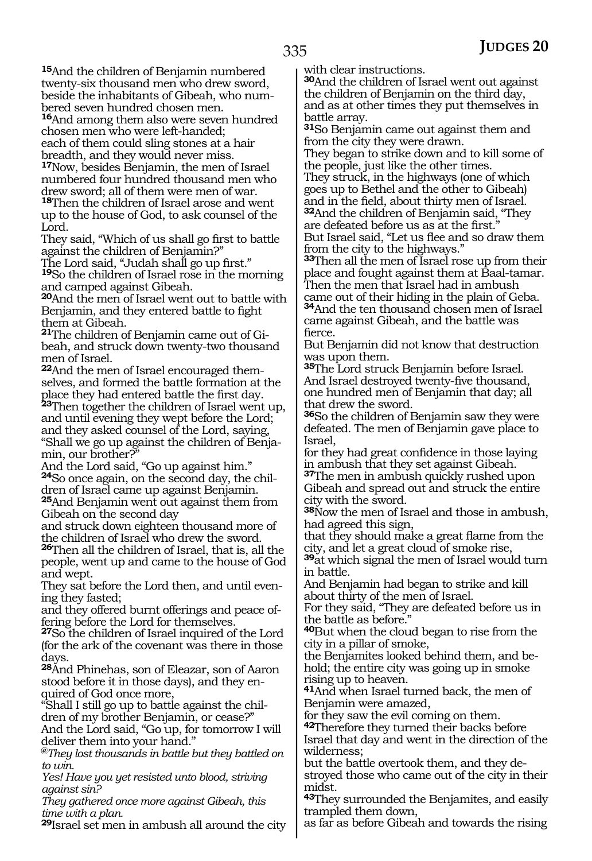**<sup>15</sup>**And the children of Benjamin numbered twenty-six thousand men who drew sword, beside the inhabitants of Gibeah, who numbered seven hundred chosen men.

**<sup>16</sup>**And among them also were seven hundred chosen men who were left-handed; each of them could sling stones at a hair

breadth, and they would never miss. **<sup>17</sup>**Now, besides Benjamin, the men of Israel numbered four hundred thousand men who

drew sword; all of them were men of war. **<sup>18</sup>**Then the children of Israel arose and went up to the house of God, to ask counsel of the Lord.

They said, "Which of us shall go first to battle against the children of Benjamin?"

The Lord said, "Judah shall go up first." **<sup>19</sup>**So the children of Israel rose in the morning

and camped against Gibeah.

**<sup>20</sup>**And the men of Israel went out to battle with Benjamin, and they entered battle to fight them at Gibeah.

**21**The children of Benjamin came out of Gibeah, and struck down twenty-two thousand men of Israel.

**22**And the men of Israel encouraged themselves, and formed the battle formation at the place they had entered battle the first day.

**<sup>23</sup>**Then together the children of Israel went up, and until evening they wept before the Lord; and they asked counsel of the Lord, saying, "Shall we go up against the children of Benjamin, our brother?"

And the Lord said, "Go up against him." **24**So once again, on the second day, the children of Israel came up against Benjamin. **<sup>25</sup>**And Benjamin went out against them from

Gibeah on the second day and struck down eighteen thousand more of the children of Israel who drew the sword.

**<sup>26</sup>**Then all the children of Israel, that is, all the people, went up and came to the house of God and wept.

They sat before the Lord then, and until evening they fasted;

and they offered burnt offerings and peace offering before the Lord for themselves.

**<sup>27</sup>**So the children of Israel inquired of the Lord (for the ark of the covenant was there in those days.

**<sup>28</sup>**And Phinehas, son of Eleazar, son of Aaron stood before it in those days), and they enquired of God once more,

"Shall I still go up to battle against the children of my brother Benjamin, or cease?"

And the Lord said, "Go up, for tomorrow I will deliver them into your hand."

**@***They lost thousands in battle but they battled on to win.*

*Yes! Have you yet resisted unto blood, striving against sin?*

*They gathered once more against Gibeah, this time with a plan.*

**<sup>29</sup>**Israel set men in ambush all around the city

with clear instructions.

**<sup>30</sup>**And the children of Israel went out against the children of Benjamin on the third day, and as at other times they put themselves in battle array.

**<sup>31</sup>**So Benjamin came out against them and from the city they were drawn.

They began to strike down and to kill some of the people, just like the other times.

They struck, in the highways (one of which goes up to Bethel and the other to Gibeah) and in the field, about thirty men of Israel. **<sup>32</sup>**And the children of Benjamin said, "They

are defeated before us as at the first." But Israel said, "Let us flee and so draw them from the city to the highways."

**<sup>33</sup>**Then all the men of Israel rose up from their place and fought against them at Baal-tamar. Then the men that Israel had in ambush came out of their hiding in the plain of Geba. **<sup>34</sup>**And the ten thousand chosen men of Israel came against Gibeah, and the battle was fierce.

But Benjamin did not know that destruction was upon them.

**<sup>35</sup>**The Lord struck Benjamin before Israel. And Israel destroyed twenty-five thousand, one hundred men of Benjamin that day; all that drew the sword.

**<sup>36</sup>**So the children of Benjamin saw they were defeated. The men of Benjamin gave place to Israel,

for they had great confidence in those laying in ambush that they set against Gibeah.

**<sup>37</sup>**The men in ambush quickly rushed upon Gibeah and spread out and struck the entire city with the sword.

**<sup>38</sup>**Now the men of Israel and those in ambush, had agreed this sign,

that they should make a great flame from the city, and let a great cloud of smoke rise,

**<sup>39</sup>**at which signal the men of Israel would turn in battle.

And Benjamin had began to strike and kill about thirty of the men of Israel.

For they said, "They are defeated before us in the battle as before."

**<sup>40</sup>**But when the cloud began to rise from the city in a pillar of smoke,

the Benjamites looked behind them, and be- hold; the entire city was going up in smoke rising up to heaven.

**<sup>41</sup>**And when Israel turned back, the men of Benjamin were amazed,

for they saw the evil coming on them.

**<sup>42</sup>**Therefore they turned their backs before Israel that day and went in the direction of the wilderness;

but the battle overtook them, and they destroyed those who came out of the city in their midst.

**<sup>43</sup>**They surrounded the Benjamites, and easily trampled them down,

as far as before Gibeah and towards the rising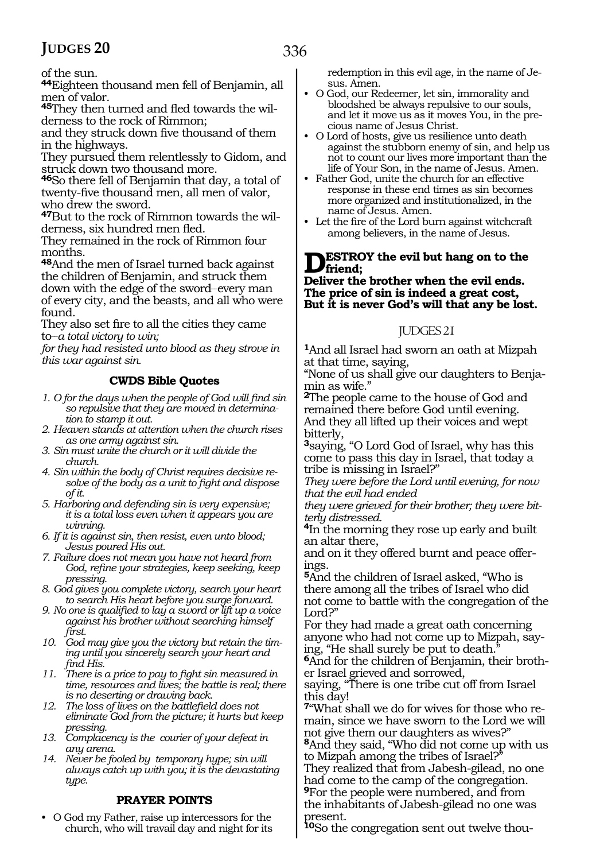of the sun.

**<sup>44</sup>**Eighteen thousand men fell of Benjamin, all men of valor.

**45**They then turned and fled towards the wilderness to the rock of Rimmon;

and they struck down five thousand of them in the highways.

They pursued them relentlessly to Gidom, and struck down two thousand more.

**<sup>46</sup>**So there fell of Benjamin that day, a total of twenty-five thousand men, all men of valor, who drew the sword.

**47**But to the rock of Rimmon towards the wilderness, six hundred men fled.

They remained in the rock of Rimmon four months.

**<sup>48</sup>**And the men of Israel turned back against the children of Benjamin, and struck them down with the edge of the sword-every man of every city, and the beasts, and all who were found.

They also set fire to all the cities they came to\_\_*a total victory to win;*

*for they had resisted unto blood as they strove in this war against sin.*

#### **CWDS Bible Quotes**

- *1. O for the days when the people of God will find sin so repulsive that they are moved in determination to stamp it out.*
- *2. Heaven stands at attention when the church rises as one army against sin.*
- *3. Sin must unite the church or it will divide the church.*
- *4. Sin within the body of Christ requires decisive resolve of the body as a unit to fight and dispose of it.*
- *5. Harboring and defending sin is very expensive; it is a total loss even when it appears you are winning.*
- *6. If it is against sin, then resist, even unto blood; Jesus poured His out.*
- *7. Failure does not mean you have not heard from God, refine your strategies, keep seeking, keep pressing.*
- *8. God gives you complete victory, search your heart to search His heart before you surge forward.*
- *9. No one is qualified to lay a sword or lift up a voice against his brother without searching himself first.*
- *10. God may give you the victory but retain the timing until you sincerely search your heart and find His.*
- *11. There is a price to pay to fight sin measured in time, resources and lives; the battle is real; there is no deserting or drawing back.*
- *12. The loss of lives on the battlefield does not eliminate God from the picture; it hurts but keep pressing.*
- *13. Complacency is the courier of your defeat in any arena.*
- *14. Never be fooled by temporary hype; sin will always catch up with you; it is the devastating type.*

#### **PRAYER POINTS**

• O God my Father, raise up intercessors for the church, who will travail day and night for its redemption in this evil age, in the name of Jesus. Amen.

- O God, our Redeemer, let sin, immorality and bloodshed be always repulsive to our souls, and let it move us as it moves You, in the precious name of Jesus Christ.
- O Lord of hosts, give us resilience unto death against the stubborn enemy of sin, and help us not to count our lives more important than the life of Your Son, in the name of Jesus. Amen.
- Father God, unite the church for an effective response in these end times as sin becomes more organized and institutionalized, in the name of Jesus. Amen.
- Let the fire of the Lord burn against witchcraft among believers, in the name of Jesus.

#### **Destroy the evil but hang on to the**   $\sum_{\text{friend}}$ ;

**Deliver the brother when the evil ends. The price of sin is indeed a great cost, But it is never God's will that any be lost.**

#### JUDGES 21

**<sup>1</sup>**And all Israel had sworn an oath at Mizpah at that time, saying,

"None of us shall give our daughters to Benjamin as wife."

**<sup>2</sup>**The people came to the house of God and remained there before God until evening. And they all lifted up their voices and wept bitterly,

**<sup>3</sup>**saying, "O Lord God of Israel, why has this come to pass this day in Israel, that today a tribe is missing in Israel?"

*They were before the Lord until evening, for now that the evil had ended*

*they were grieved for their brother; they were bitterly distressed.*

**<sup>4</sup>**In the morning they rose up early and built an altar there,

and on it they offered burnt and peace offerings.

**<sup>5</sup>**And the children of Israel asked, "Who is there among all the tribes of Israel who did not come to battle with the congregation of the Lord?"

For they had made a great oath concerning anyone who had not come up to Mizpah, say- ing, "He shall surely be put to death."

**6**And for the children of Benjamin, their broth-<br>er Israel grieved and sorrowed,

saying, "There is one tribe cut off from Israel this day!

**7**"What shall we do for wives for those who remain, since we have sworn to the Lord we will not give them our daughters as wives?"

**<sup>8</sup>**And they said, "Who did not come up with us to Mizpah among the tribes of Israel?" They realized that from Jabesh-gilead, no one

had come to the camp of the congregation.

**<sup>9</sup>**For the people were numbered, and from the inhabitants of Jabesh-gilead no one was present.

**10**So the congregation sent out twelve thou-